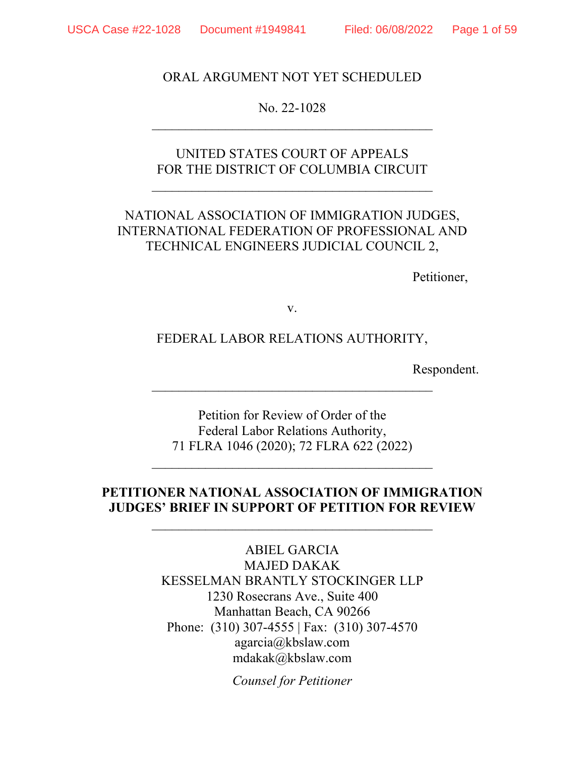### ORAL ARGUMENT NOT YET SCHEDULED

No. 22-1028  $\mathcal{L}_\text{max}$  , and the contract of the contract of the contract of the contract of the contract of the contract of the contract of the contract of the contract of the contract of the contract of the contract of the contr

## UNITED STATES COURT OF APPEALS FOR THE DISTRICT OF COLUMBIA CIRCUIT

 $\mathcal{L}_\mathcal{L}$  , which is a set of the set of the set of the set of the set of the set of the set of the set of the set of the set of the set of the set of the set of the set of the set of the set of the set of the set of

# NATIONAL ASSOCIATION OF IMMIGRATION JUDGES, INTERNATIONAL FEDERATION OF PROFESSIONAL AND TECHNICAL ENGINEERS JUDICIAL COUNCIL 2,

Petitioner,

v.

### FEDERAL LABOR RELATIONS AUTHORITY,

 $\mathcal{L}_\mathcal{L}$  , which is a set of the set of the set of the set of the set of the set of the set of the set of the set of the set of the set of the set of the set of the set of the set of the set of the set of the set of

Respondent.

Petition for Review of Order of the Federal Labor Relations Authority, 71 FLRA 1046 (2020); 72 FLRA 622 (2022)

 $\mathcal{L}_\mathcal{L}$  , which is a set of the set of the set of the set of the set of the set of the set of the set of the set of the set of the set of the set of the set of the set of the set of the set of the set of the set of

### **PETITIONER NATIONAL ASSOCIATION OF IMMIGRATION JUDGES' BRIEF IN SUPPORT OF PETITION FOR REVIEW**

 $\mathcal{L}_\mathcal{L}$  , which is a set of the set of the set of the set of the set of the set of the set of the set of the set of the set of the set of the set of the set of the set of the set of the set of the set of the set of

ABIEL GARCIA MAJED DAKAK KESSELMAN BRANTLY STOCKINGER LLP 1230 Rosecrans Ave., Suite 400 Manhattan Beach, CA 90266 Phone: (310) 307-4555 | Fax: (310) 307-4570 agarcia@kbslaw.com mdakak@kbslaw.com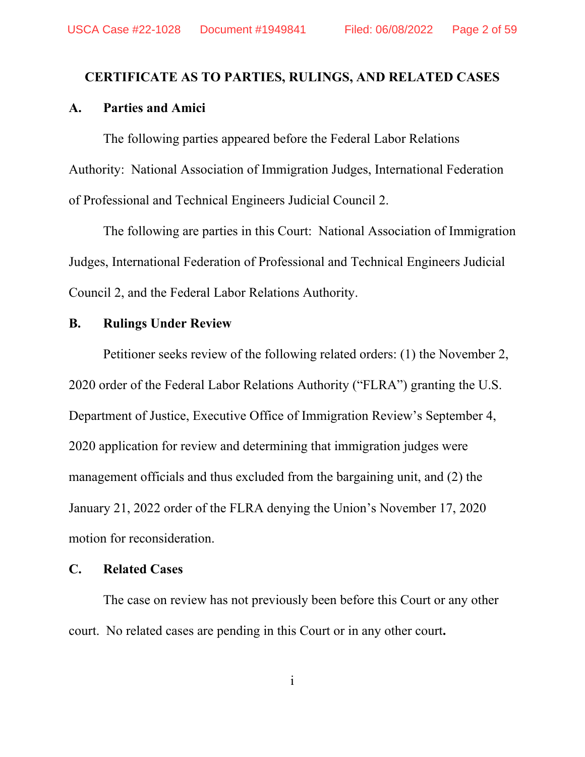#### <span id="page-1-0"></span>**CERTIFICATE AS TO PARTIES, RULINGS, AND RELATED CASES**

#### **A. Parties and Amici**

The following parties appeared before the Federal Labor Relations Authority: National Association of Immigration Judges, International Federation of Professional and Technical Engineers Judicial Council 2.

The following are parties in this Court: National Association of Immigration Judges, International Federation of Professional and Technical Engineers Judicial Council 2, and the Federal Labor Relations Authority.

### **B. Rulings Under Review**

Petitioner seeks review of the following related orders: (1) the November 2, 2020 order of the Federal Labor Relations Authority ("FLRA") granting the U.S. Department of Justice, Executive Office of Immigration Review's September 4, 2020 application for review and determining that immigration judges were management officials and thus excluded from the bargaining unit, and (2) the January 21, 2022 order of the FLRA denying the Union's November 17, 2020 motion for reconsideration.

#### **C. Related Cases**

The case on review has not previously been before this Court or any other court. No related cases are pending in this Court or in any other court**.**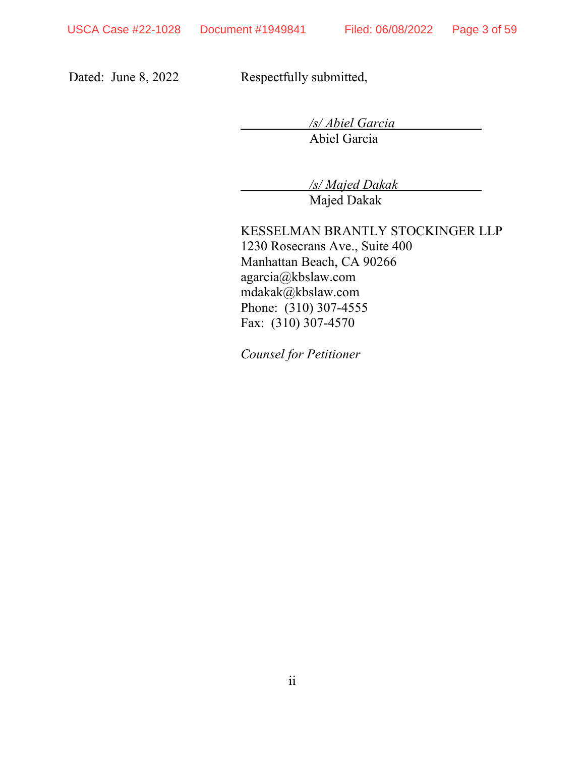Dated: June 8, 2022 Respectfully submitted,

*/s/ Abiel Garcia* 

Abiel Garcia

*/s/ Majed Dakak* 

Majed Dakak

KESSELMAN BRANTLY STOCKINGER LLP 1230 Rosecrans Ave., Suite 400 Manhattan Beach, CA 90266 agarcia@kbslaw.com mdakak@kbslaw.com Phone: (310) 307-4555 Fax: (310) 307-4570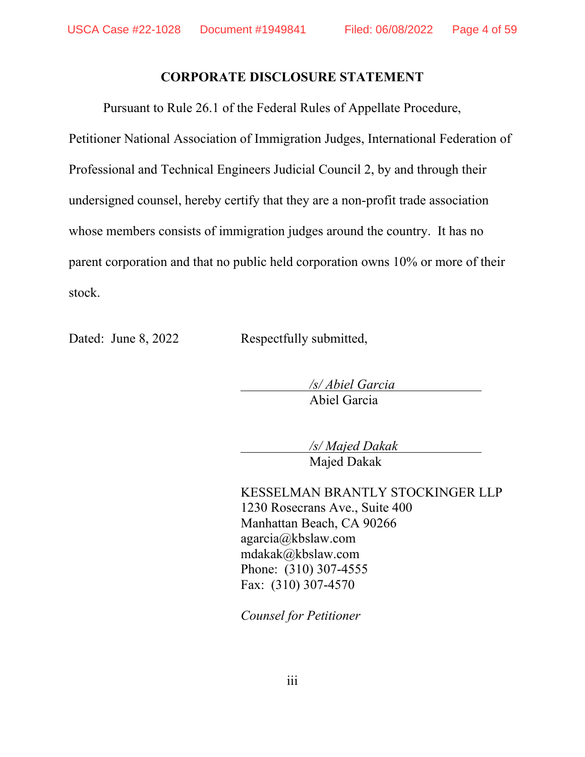### **CORPORATE DISCLOSURE STATEMENT**

<span id="page-3-0"></span>Pursuant to Rule 26.1 of the Federal Rules of Appellate Procedure,

Petitioner National Association of Immigration Judges, International Federation of Professional and Technical Engineers Judicial Council 2, by and through their undersigned counsel, hereby certify that they are a non-profit trade association whose members consists of immigration judges around the country. It has no parent corporation and that no public held corporation owns 10% or more of their stock.

Dated: June 8, 2022 Respectfully submitted,

 */s/ Abiel Garcia*  Abiel Garcia

 */s/ Majed Dakak*  Majed Dakak

KESSELMAN BRANTLY STOCKINGER LLP 1230 Rosecrans Ave., Suite 400 Manhattan Beach, CA 90266 agarcia@kbslaw.com mdakak@kbslaw.com Phone: (310) 307-4555 Fax: (310) 307-4570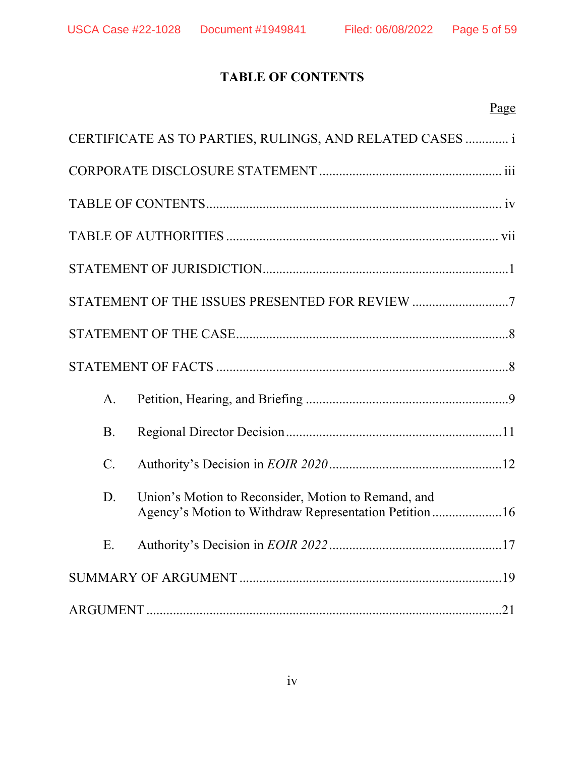# **TABLE OF CONTENTS**

<span id="page-4-0"></span>

| CERTIFICATE AS TO PARTIES, RULINGS, AND RELATED CASES  i                                                            |
|---------------------------------------------------------------------------------------------------------------------|
|                                                                                                                     |
|                                                                                                                     |
|                                                                                                                     |
|                                                                                                                     |
|                                                                                                                     |
|                                                                                                                     |
|                                                                                                                     |
| $A_{\cdot}$                                                                                                         |
| <b>B.</b>                                                                                                           |
| $C$ .                                                                                                               |
| Union's Motion to Reconsider, Motion to Remand, and<br>D.<br>Agency's Motion to Withdraw Representation Petition 16 |
| E.                                                                                                                  |
|                                                                                                                     |
|                                                                                                                     |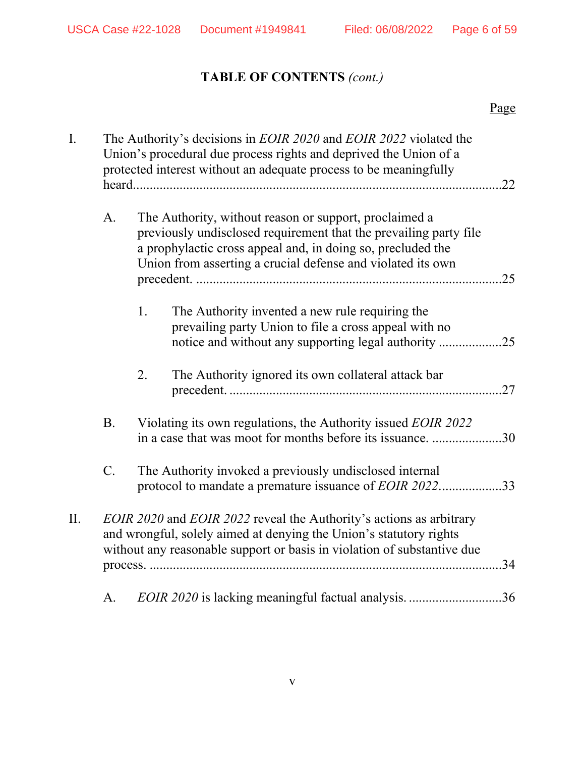# **TABLE OF CONTENTS** *(cont.)*

|    |           | Page                                                                                                                                                                                                                                                      |     |
|----|-----------|-----------------------------------------------------------------------------------------------------------------------------------------------------------------------------------------------------------------------------------------------------------|-----|
| I. |           | The Authority's decisions in <i>EOIR 2020</i> and <i>EOIR 2022</i> violated the<br>Union's procedural due process rights and deprived the Union of a<br>protected interest without an adequate process to be meaningfully                                 | .22 |
|    | A.        | The Authority, without reason or support, proclaimed a<br>previously undisclosed requirement that the prevailing party file<br>a prophylactic cross appeal and, in doing so, precluded the<br>Union from asserting a crucial defense and violated its own |     |
|    |           | 1.<br>The Authority invented a new rule requiring the<br>prevailing party Union to file a cross appeal with no                                                                                                                                            |     |
|    |           | The Authority ignored its own collateral attack bar<br>2.                                                                                                                                                                                                 |     |
|    | <b>B.</b> | Violating its own regulations, the Authority issued EOIR 2022<br>in a case that was moot for months before its issuance. 30                                                                                                                               |     |
|    | C.        | The Authority invoked a previously undisclosed internal<br>protocol to mandate a premature issuance of EOIR 202233                                                                                                                                        |     |
| П. |           | EOIR 2020 and EOIR 2022 reveal the Authority's actions as arbitrary<br>and wrongful, solely aimed at denying the Union's statutory rights<br>without any reasonable support or basis in violation of substantive due                                      | .34 |
|    | A.        | EOIR 2020 is lacking meaningful factual analysis                                                                                                                                                                                                          | .36 |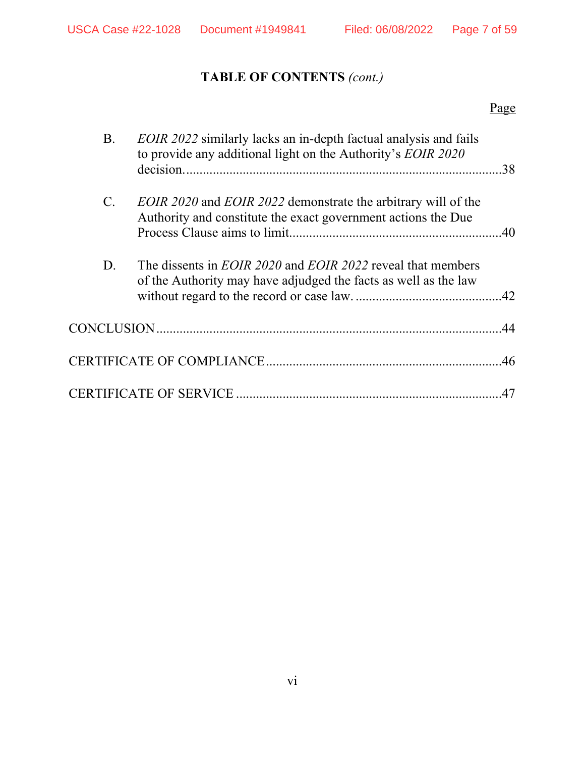# **TABLE OF CONTENTS** *(cont.)*

# Page

| Β.              | <i>EOIR 2022</i> similarly lacks an in-depth factual analysis and fails<br>to provide any additional light on the Authority's EOIR 2020      |     |
|-----------------|----------------------------------------------------------------------------------------------------------------------------------------------|-----|
| $\mathcal{C}$ . | <i>EOIR 2020</i> and <i>EOIR 2022</i> demonstrate the arbitrary will of the<br>Authority and constitute the exact government actions the Due |     |
| D.              | The dissents in <i>EOIR 2020</i> and <i>EOIR 2022</i> reveal that members<br>of the Authority may have adjudged the facts as well as the law |     |
|                 |                                                                                                                                              |     |
|                 |                                                                                                                                              |     |
|                 |                                                                                                                                              | .47 |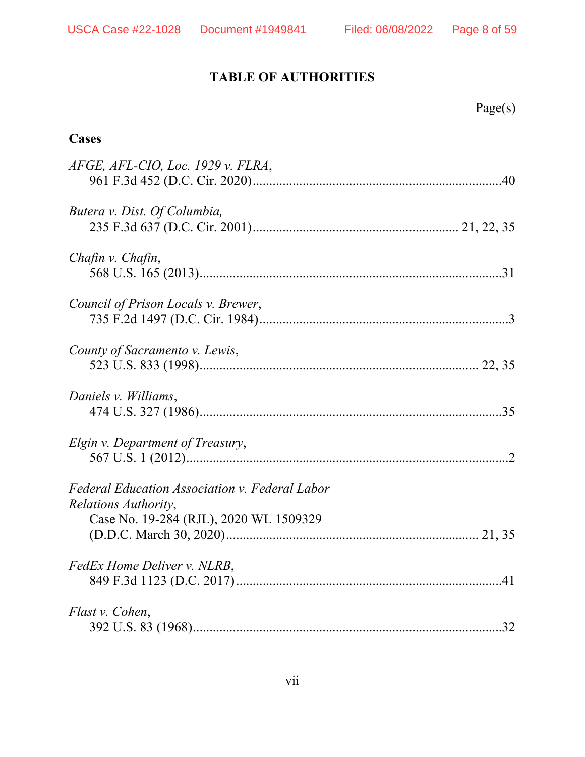Page(s)

# **TABLE OF AUTHORITIES**

<span id="page-7-0"></span>

| Cases                                                                  |
|------------------------------------------------------------------------|
| AFGE, AFL-CIO, Loc. 1929 v. FLRA,                                      |
| Butera v. Dist. Of Columbia,                                           |
| Chafin v. Chafin,                                                      |
| Council of Prison Locals v. Brewer,                                    |
| County of Sacramento v. Lewis,                                         |
| Daniels v. Williams,                                                   |
| Elgin v. Department of Treasury,                                       |
| Federal Education Association v. Federal Labor<br>Relations Authority, |
| Case No. 19-284 (RJL), 2020 WL 1509329                                 |
| FedEx Home Deliver v. NLRB,                                            |
| Flast v. Cohen,<br>.32                                                 |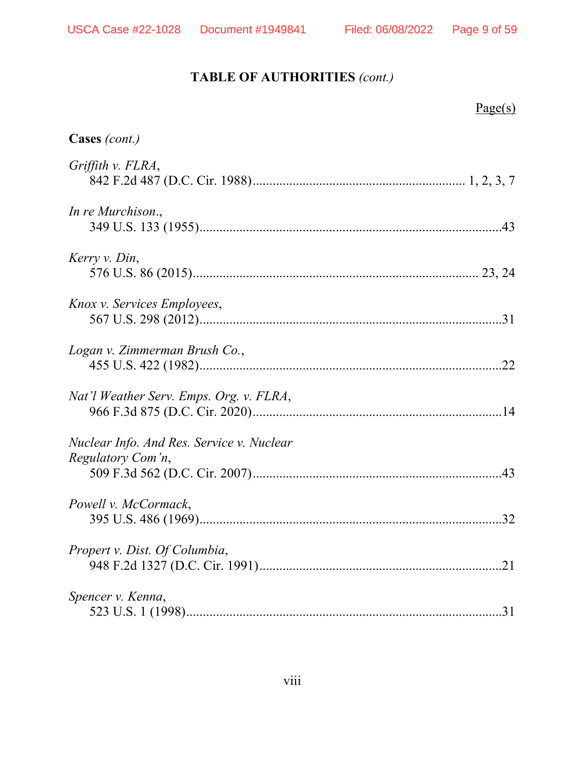# **TABLE OF AUTHORITIES** *(cont.)*

| Page(s)                                                        |
|----------------------------------------------------------------|
| Cases (cont.)                                                  |
| Griffith v. FLRA,                                              |
| In re Murchison.,                                              |
| Kerry v. Din,                                                  |
| Knox v. Services Employees,                                    |
| Logan v. Zimmerman Brush Co.,                                  |
| Nat'l Weather Serv. Emps. Org. v. FLRA,                        |
| Nuclear Info. And Res. Service v. Nuclear<br>Regulatory Com'n, |
| Powell v. McCormack,<br>.32                                    |
| Propert v. Dist. Of Columbia,<br>.21                           |
| Spencer v. Kenna,<br>31                                        |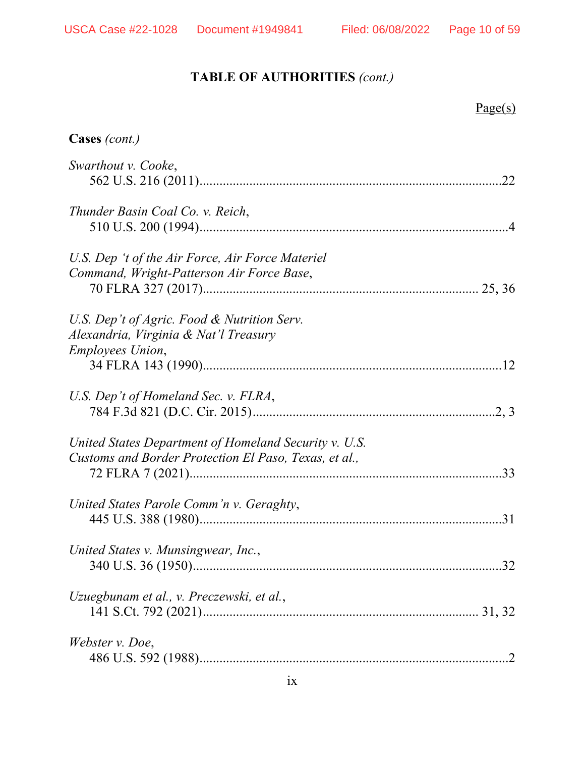# **TABLE OF AUTHORITIES** *(cont.)*

| Page(s)                                                                                                        |     |
|----------------------------------------------------------------------------------------------------------------|-----|
| Cases (cont.)                                                                                                  |     |
| Swarthout v. Cooke,                                                                                            | .22 |
| Thunder Basin Coal Co. v. Reich,                                                                               |     |
| U.S. Dep 't of the Air Force, Air Force Materiel<br>Command, Wright-Patterson Air Force Base,                  |     |
| U.S. Dep't of Agric. Food & Nutrition Serv.<br>Alexandria, Virginia & Nat'l Treasury                           |     |
| <b>Employees Union,</b>                                                                                        |     |
| U.S. Dep't of Homeland Sec. v. FLRA,                                                                           |     |
| United States Department of Homeland Security v. U.S.<br>Customs and Border Protection El Paso, Texas, et al., |     |
| United States Parole Comm'n v. Geraghty,                                                                       |     |
| United States v. Munsingwear, Inc.,                                                                            |     |
| Uzuegbunam et al., v. Preczewski, et al.,                                                                      |     |
| Webster v. Doe,                                                                                                |     |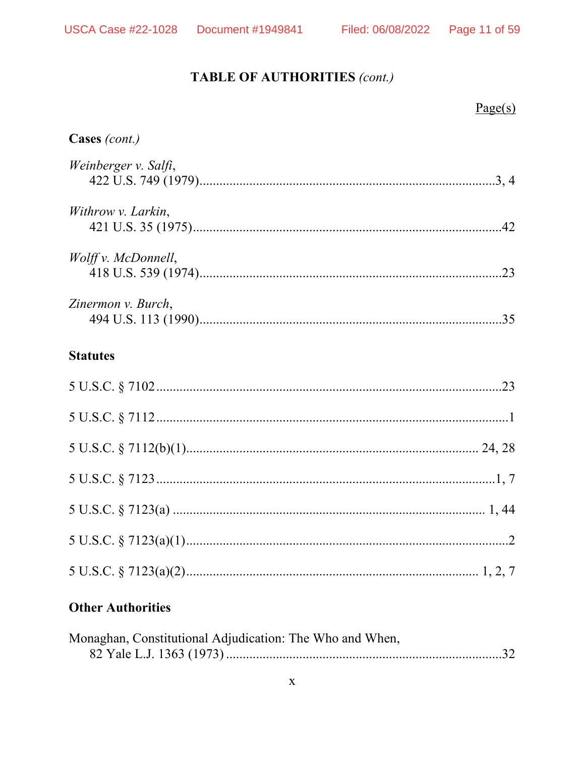# TABLE OF AUTHORITIES (cont.)

|                      | Page(s) |
|----------------------|---------|
| Cases (cont.)        |         |
| Weinberger v. Salfi, |         |
| Withrow v. Larkin,   |         |
| Wolff v. McDonnell,  |         |
| Zinermon v. Burch,   |         |
| <b>Statutes</b>      |         |
|                      |         |
|                      |         |
|                      |         |
|                      |         |
|                      |         |
|                      |         |
|                      |         |
|                      |         |

# **Other Authorities**

| Monaghan, Constitutional Adjudication: The Who and When, |  |
|----------------------------------------------------------|--|
|                                                          |  |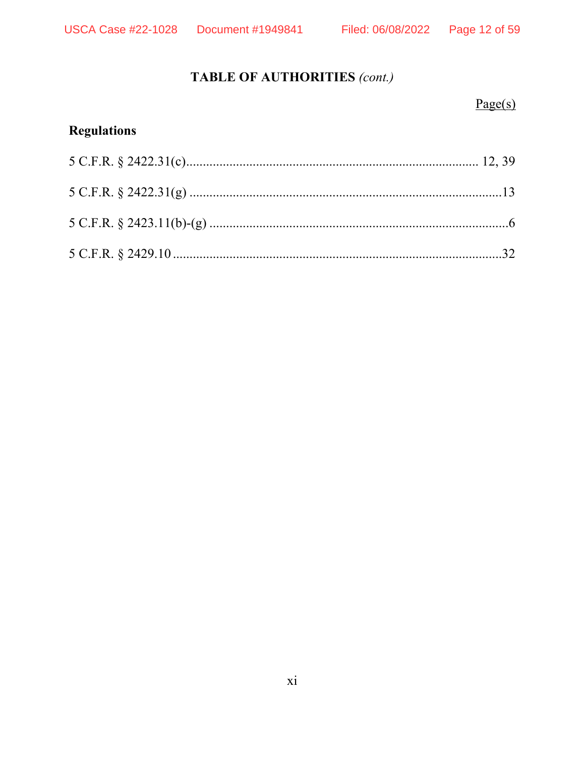# Page 12 of 59

# TABLE OF AUTHORITIES (cont.)

# $Page(s)$

# **Regulations**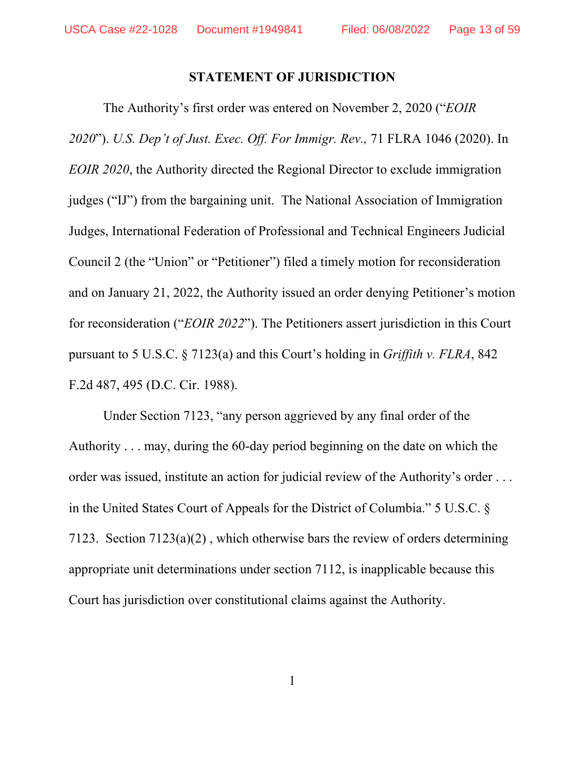#### **STATEMENT OF JURISDICTION**

<span id="page-12-0"></span>The Authority's first order was entered on November 2, 2020 ("*EOIR 2020*"). *U.S. Dep't of Just. Exec. Off. For Immigr. Rev.,* 71 FLRA 1046 (2020). In *EOIR 2020*, the Authority directed the Regional Director to exclude immigration judges ("IJ") from the bargaining unit. The National Association of Immigration Judges, International Federation of Professional and Technical Engineers Judicial Council 2 (the "Union" or "Petitioner") filed a timely motion for reconsideration and on January 21, 2022, the Authority issued an order denying Petitioner's motion for reconsideration ("*EOIR 2022*"). The Petitioners assert jurisdiction in this Court pursuant to 5 U.S.C. § 7123(a) and this Court's holding in *Griffith v. FLRA*, 842 F.2d 487, 495 (D.C. Cir. 1988).

Under Section 7123, "any person aggrieved by any final order of the Authority . . . may, during the 60-day period beginning on the date on which the order was issued, institute an action for judicial review of the Authority's order . . . in the United States Court of Appeals for the District of Columbia." 5 U.S.C. § 7123. Section 7123(a)(2) , which otherwise bars the review of orders determining appropriate unit determinations under section 7112, is inapplicable because this Court has jurisdiction over constitutional claims against the Authority.

1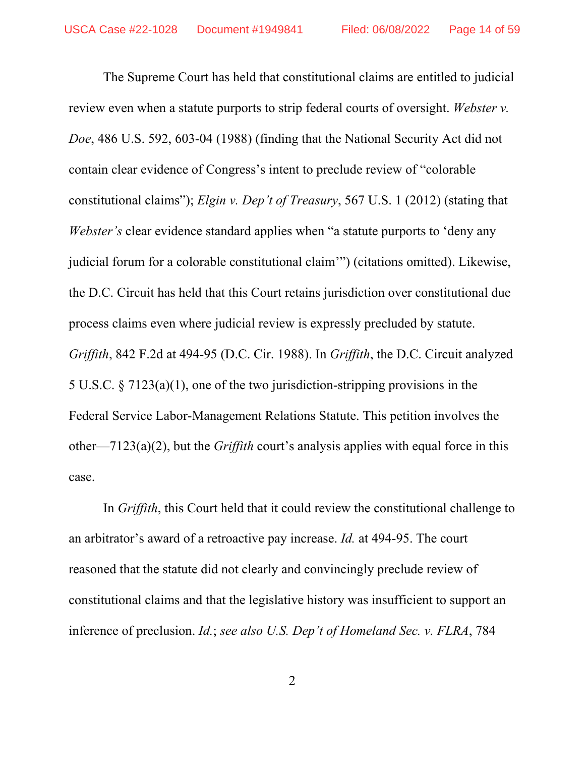The Supreme Court has held that constitutional claims are entitled to judicial review even when a statute purports to strip federal courts of oversight. *Webster v. Doe*, 486 U.S. 592, 603-04 (1988) (finding that the National Security Act did not contain clear evidence of Congress's intent to preclude review of "colorable constitutional claims"); *Elgin v. Dep't of Treasury*, 567 U.S. 1 (2012) (stating that *Webster's* clear evidence standard applies when "a statute purports to 'deny any judicial forum for a colorable constitutional claim'") (citations omitted). Likewise, the D.C. Circuit has held that this Court retains jurisdiction over constitutional due process claims even where judicial review is expressly precluded by statute. *Griffith*, 842 F.2d at 494-95 (D.C. Cir. 1988). In *Griffith*, the D.C. Circuit analyzed 5 U.S.C. § 7123(a)(1), one of the two jurisdiction-stripping provisions in the Federal Service Labor-Management Relations Statute. This petition involves the other—7123(a)(2), but the *Griffith* court's analysis applies with equal force in this case.

In *Griffith*, this Court held that it could review the constitutional challenge to an arbitrator's award of a retroactive pay increase. *Id.* at 494-95. The court reasoned that the statute did not clearly and convincingly preclude review of constitutional claims and that the legislative history was insufficient to support an inference of preclusion. *Id.*; *see also U.S. Dep't of Homeland Sec. v. FLRA*, 784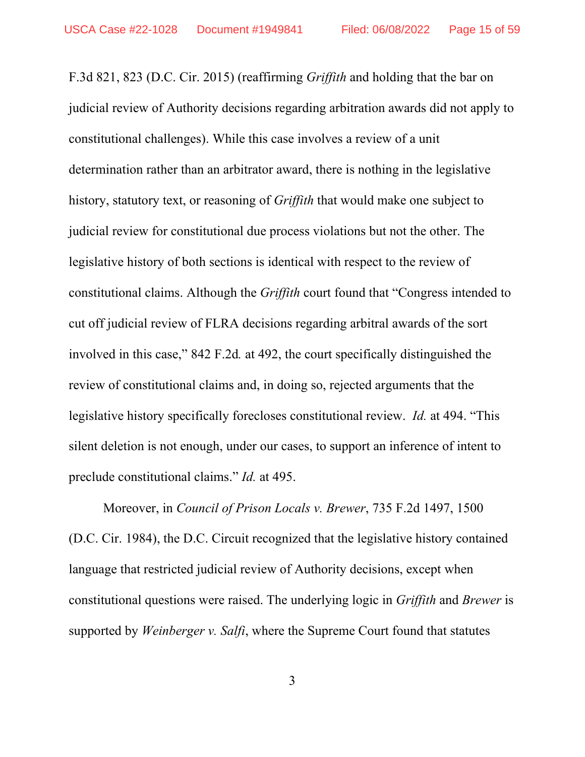F.3d 821, 823 (D.C. Cir. 2015) (reaffirming *Griffith* and holding that the bar on judicial review of Authority decisions regarding arbitration awards did not apply to constitutional challenges). While this case involves a review of a unit determination rather than an arbitrator award, there is nothing in the legislative history, statutory text, or reasoning of *Griffith* that would make one subject to judicial review for constitutional due process violations but not the other. The legislative history of both sections is identical with respect to the review of constitutional claims. Although the *Griffith* court found that "Congress intended to cut off judicial review of FLRA decisions regarding arbitral awards of the sort involved in this case," 842 F.2d*.* at 492, the court specifically distinguished the review of constitutional claims and, in doing so, rejected arguments that the legislative history specifically forecloses constitutional review. *Id.* at 494. "This silent deletion is not enough, under our cases, to support an inference of intent to preclude constitutional claims." *Id.* at 495.

Moreover, in *Council of Prison Locals v. Brewer*, 735 F.2d 1497, 1500 (D.C. Cir. 1984), the D.C. Circuit recognized that the legislative history contained language that restricted judicial review of Authority decisions, except when constitutional questions were raised. The underlying logic in *Griffith* and *Brewer* is supported by *Weinberger v. Salfi*, where the Supreme Court found that statutes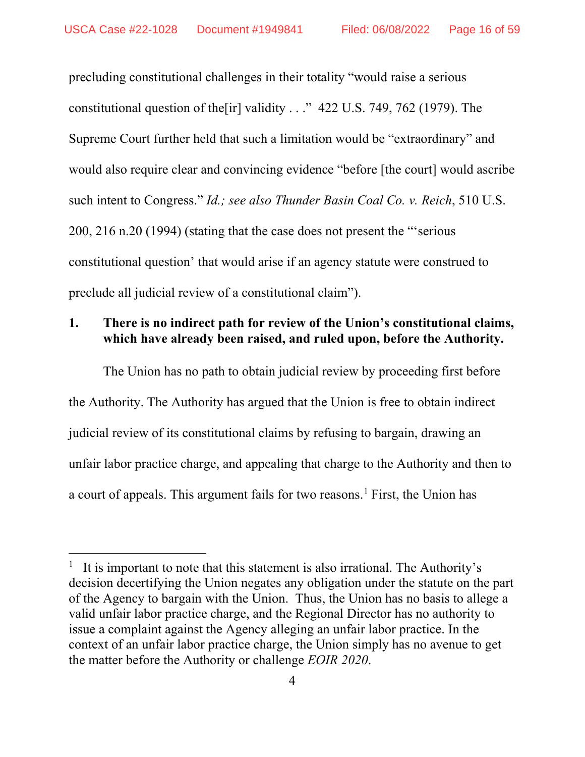precluding constitutional challenges in their totality "would raise a serious constitutional question of the [ir] validity  $\ldots$  " 422 U.S. 749, 762 (1979). The Supreme Court further held that such a limitation would be "extraordinary" and would also require clear and convincing evidence "before [the court] would ascribe such intent to Congress." *Id.; see also Thunder Basin Coal Co. v. Reich*, 510 U.S. 200, 216 n.20 (1994) (stating that the case does not present the "'serious constitutional question' that would arise if an agency statute were construed to preclude all judicial review of a constitutional claim").

# **1. There is no indirect path for review of the Union's constitutional claims, which have already been raised, and ruled upon, before the Authority.**

The Union has no path to obtain judicial review by proceeding first before the Authority. The Authority has argued that the Union is free to obtain indirect judicial review of its constitutional claims by refusing to bargain, drawing an unfair labor practice charge, and appealing that charge to the Authority and then to a court of appeals. This argument fails for two reasons.<sup>[1](#page-15-0)</sup> First, the Union has

<span id="page-15-0"></span><sup>1</sup> It is important to note that this statement is also irrational. The Authority's decision decertifying the Union negates any obligation under the statute on the part of the Agency to bargain with the Union. Thus, the Union has no basis to allege a valid unfair labor practice charge, and the Regional Director has no authority to issue a complaint against the Agency alleging an unfair labor practice. In the context of an unfair labor practice charge, the Union simply has no avenue to get the matter before the Authority or challenge *EOIR 2020*.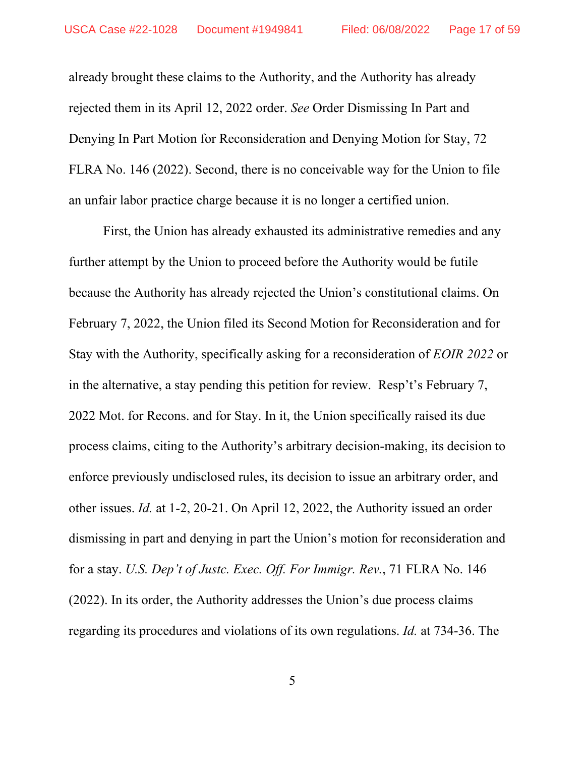already brought these claims to the Authority, and the Authority has already rejected them in its April 12, 2022 order. *See* Order Dismissing In Part and Denying In Part Motion for Reconsideration and Denying Motion for Stay, 72 FLRA No. 146 (2022). Second, there is no conceivable way for the Union to file an unfair labor practice charge because it is no longer a certified union.

First, the Union has already exhausted its administrative remedies and any further attempt by the Union to proceed before the Authority would be futile because the Authority has already rejected the Union's constitutional claims. On February 7, 2022, the Union filed its Second Motion for Reconsideration and for Stay with the Authority, specifically asking for a reconsideration of *EOIR 2022* or in the alternative, a stay pending this petition for review. Resp't's February 7, 2022 Mot. for Recons. and for Stay. In it, the Union specifically raised its due process claims, citing to the Authority's arbitrary decision-making, its decision to enforce previously undisclosed rules, its decision to issue an arbitrary order, and other issues. *Id.* at 1-2, 20-21. On April 12, 2022, the Authority issued an order dismissing in part and denying in part the Union's motion for reconsideration and for a stay. *U.S. Dep't of Justc. Exec. Off. For Immigr. Rev.*, 71 FLRA No. 146 (2022). In its order, the Authority addresses the Union's due process claims regarding its procedures and violations of its own regulations. *Id.* at 734-36. The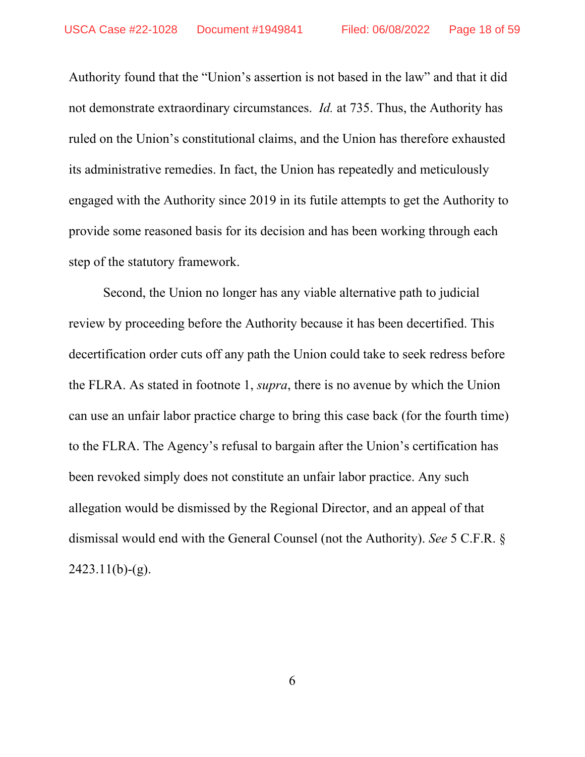Authority found that the "Union's assertion is not based in the law" and that it did not demonstrate extraordinary circumstances. *Id.* at 735. Thus, the Authority has ruled on the Union's constitutional claims, and the Union has therefore exhausted its administrative remedies. In fact, the Union has repeatedly and meticulously engaged with the Authority since 2019 in its futile attempts to get the Authority to provide some reasoned basis for its decision and has been working through each step of the statutory framework.

Second, the Union no longer has any viable alternative path to judicial review by proceeding before the Authority because it has been decertified. This decertification order cuts off any path the Union could take to seek redress before the FLRA. As stated in footnote 1, *supra*, there is no avenue by which the Union can use an unfair labor practice charge to bring this case back (for the fourth time) to the FLRA. The Agency's refusal to bargain after the Union's certification has been revoked simply does not constitute an unfair labor practice. Any such allegation would be dismissed by the Regional Director, and an appeal of that dismissal would end with the General Counsel (not the Authority). *See* 5 C.F.R. §  $2423.11(b)-(g)$ .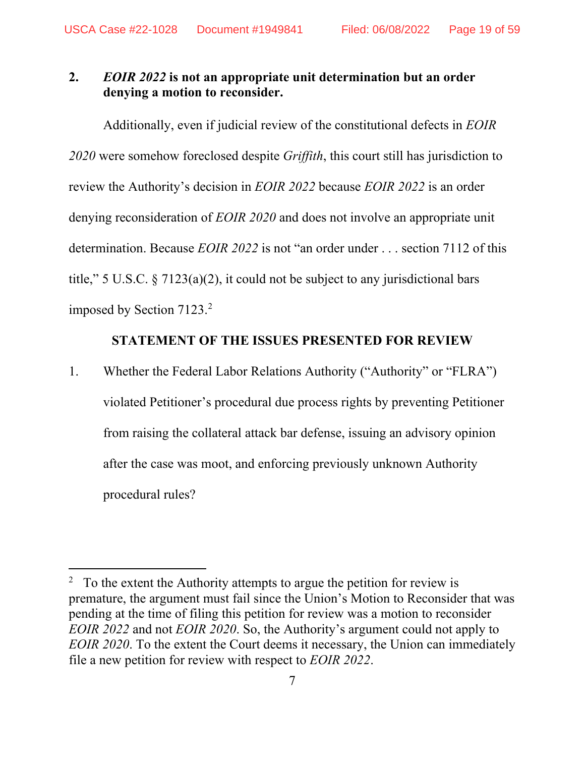### **2.** *EOIR 2022* **is not an appropriate unit determination but an order denying a motion to reconsider.**

Additionally, even if judicial review of the constitutional defects in *EOIR 2020* were somehow foreclosed despite *Griffith*, this court still has jurisdiction to review the Authority's decision in *EOIR 2022* because *EOIR 2022* is an order denying reconsideration of *EOIR 2020* and does not involve an appropriate unit determination. Because *EOIR 2022* is not "an order under . . . section 7112 of this title," 5 U.S.C.  $\frac{5}{7}$  7123(a)(2), it could not be subject to any jurisdictional bars imposed by Section 7123. [2](#page-18-1)

#### **STATEMENT OF THE ISSUES PRESENTED FOR REVIEW**

<span id="page-18-0"></span>1. Whether the Federal Labor Relations Authority ("Authority" or "FLRA") violated Petitioner's procedural due process rights by preventing Petitioner from raising the collateral attack bar defense, issuing an advisory opinion after the case was moot, and enforcing previously unknown Authority procedural rules?

<span id="page-18-1"></span> $2\degree$  To the extent the Authority attempts to argue the petition for review is premature, the argument must fail since the Union's Motion to Reconsider that was pending at the time of filing this petition for review was a motion to reconsider *EOIR 2022* and not *EOIR 2020*. So, the Authority's argument could not apply to *EOIR 2020*. To the extent the Court deems it necessary, the Union can immediately file a new petition for review with respect to *EOIR 2022*.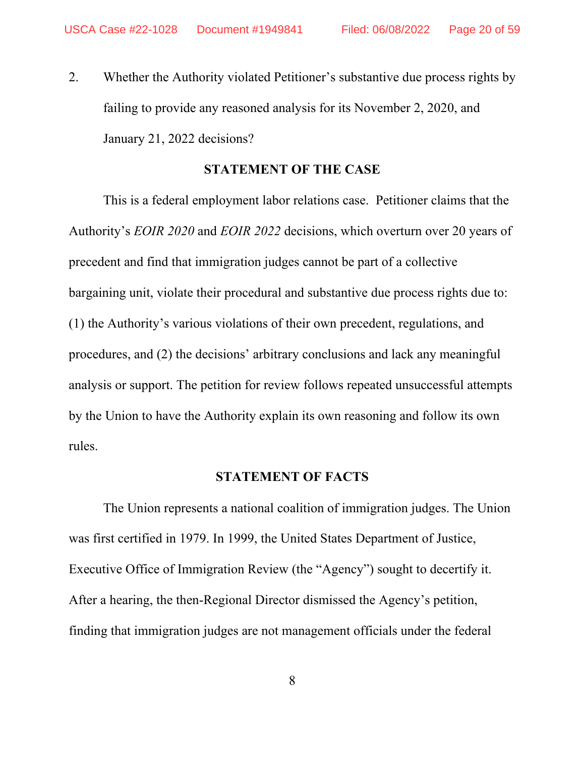2. Whether the Authority violated Petitioner's substantive due process rights by failing to provide any reasoned analysis for its November 2, 2020, and January 21, 2022 decisions?

#### **STATEMENT OF THE CASE**

<span id="page-19-0"></span>This is a federal employment labor relations case. Petitioner claims that the Authority's *EOIR 2020* and *EOIR 2022* decisions, which overturn over 20 years of precedent and find that immigration judges cannot be part of a collective bargaining unit, violate their procedural and substantive due process rights due to: (1) the Authority's various violations of their own precedent, regulations, and procedures, and (2) the decisions' arbitrary conclusions and lack any meaningful analysis or support. The petition for review follows repeated unsuccessful attempts by the Union to have the Authority explain its own reasoning and follow its own rules.

#### **STATEMENT OF FACTS**

<span id="page-19-1"></span>The Union represents a national coalition of immigration judges. The Union was first certified in 1979. In 1999, the United States Department of Justice, Executive Office of Immigration Review (the "Agency") sought to decertify it. After a hearing, the then-Regional Director dismissed the Agency's petition, finding that immigration judges are not management officials under the federal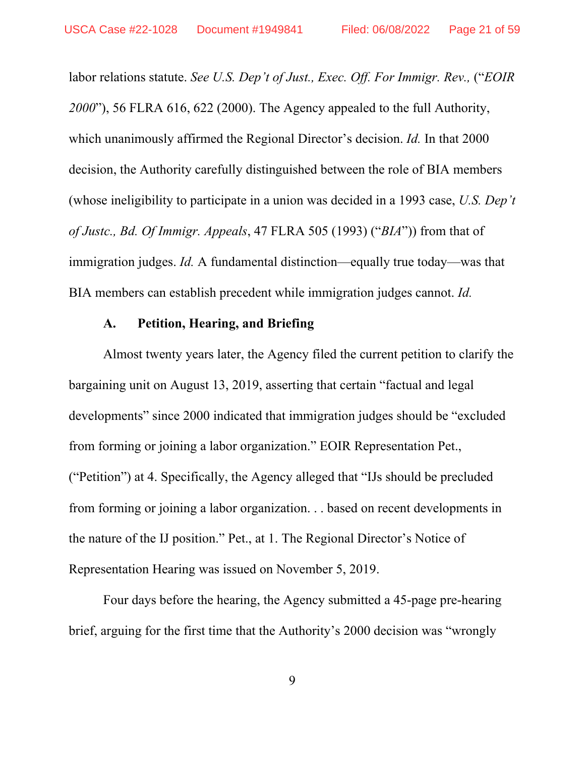labor relations statute. *See U.S. Dep't of Just., Exec. Off. For Immigr. Rev.,* ("*EOIR 2000*"), 56 FLRA 616, 622 (2000). The Agency appealed to the full Authority, which unanimously affirmed the Regional Director's decision. *Id.* In that 2000 decision, the Authority carefully distinguished between the role of BIA members (whose ineligibility to participate in a union was decided in a 1993 case, *U.S. Dep't of Justc., Bd. Of Immigr. Appeals*, 47 FLRA 505 (1993) ("*BIA*")) from that of immigration judges. *Id.* A fundamental distinction—equally true today—was that BIA members can establish precedent while immigration judges cannot. *Id.*

### **A. Petition, Hearing, and Briefing**

<span id="page-20-0"></span>Almost twenty years later, the Agency filed the current petition to clarify the bargaining unit on August 13, 2019, asserting that certain "factual and legal developments" since 2000 indicated that immigration judges should be "excluded from forming or joining a labor organization." EOIR Representation Pet., ("Petition") at 4. Specifically, the Agency alleged that "IJs should be precluded from forming or joining a labor organization. . . based on recent developments in the nature of the IJ position." Pet., at 1. The Regional Director's Notice of Representation Hearing was issued on November 5, 2019.

Four days before the hearing, the Agency submitted a 45-page pre-hearing brief, arguing for the first time that the Authority's 2000 decision was "wrongly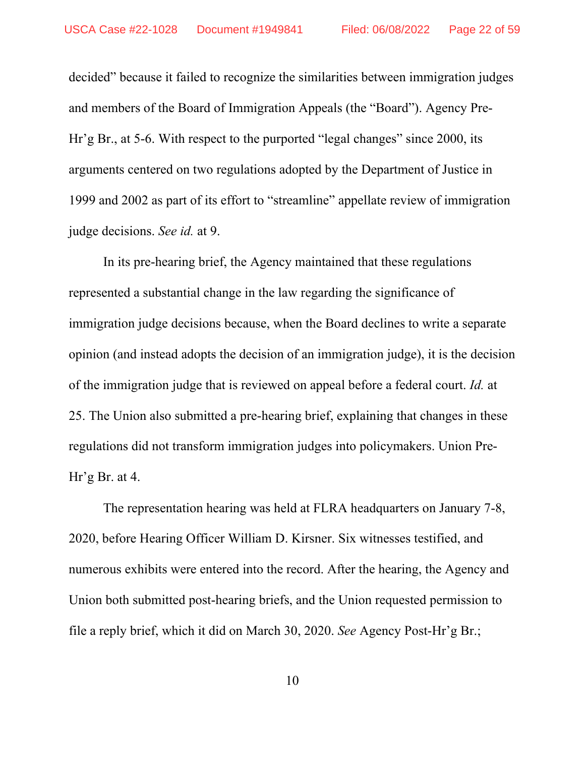decided" because it failed to recognize the similarities between immigration judges and members of the Board of Immigration Appeals (the "Board"). Agency Pre-Hr'g Br., at 5-6. With respect to the purported "legal changes" since 2000, its arguments centered on two regulations adopted by the Department of Justice in 1999 and 2002 as part of its effort to "streamline" appellate review of immigration judge decisions. *See id.* at 9.

In its pre-hearing brief, the Agency maintained that these regulations represented a substantial change in the law regarding the significance of immigration judge decisions because, when the Board declines to write a separate opinion (and instead adopts the decision of an immigration judge), it is the decision of the immigration judge that is reviewed on appeal before a federal court. *Id.* at 25. The Union also submitted a pre-hearing brief, explaining that changes in these regulations did not transform immigration judges into policymakers. Union Pre-Hr'g Br. at 4.

The representation hearing was held at FLRA headquarters on January 7-8, 2020, before Hearing Officer William D. Kirsner. Six witnesses testified, and numerous exhibits were entered into the record. After the hearing, the Agency and Union both submitted post-hearing briefs, and the Union requested permission to file a reply brief, which it did on March 30, 2020. *See* Agency Post-Hr'g Br.;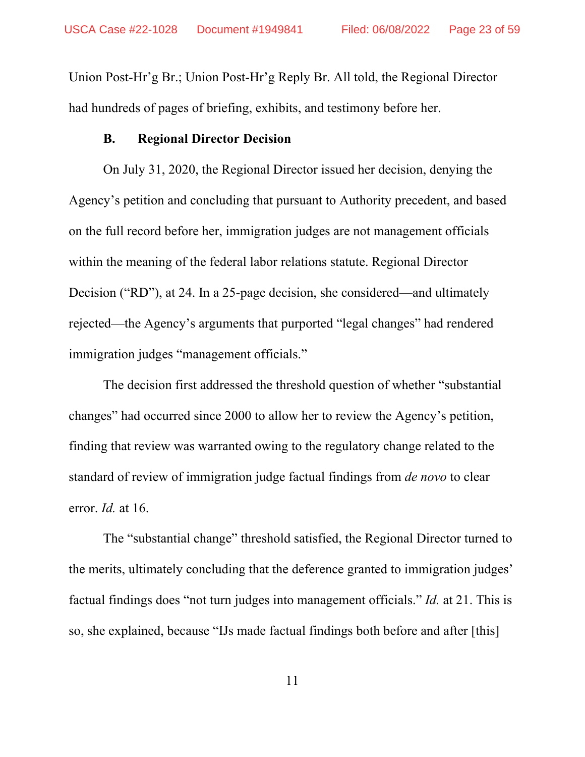Union Post-Hr'g Br.; Union Post-Hr'g Reply Br. All told, the Regional Director had hundreds of pages of briefing, exhibits, and testimony before her.

#### **B. Regional Director Decision**

<span id="page-22-0"></span>On July 31, 2020, the Regional Director issued her decision, denying the Agency's petition and concluding that pursuant to Authority precedent, and based on the full record before her, immigration judges are not management officials within the meaning of the federal labor relations statute. Regional Director Decision ("RD"), at 24. In a 25-page decision, she considered—and ultimately rejected—the Agency's arguments that purported "legal changes" had rendered immigration judges "management officials."

The decision first addressed the threshold question of whether "substantial changes" had occurred since 2000 to allow her to review the Agency's petition, finding that review was warranted owing to the regulatory change related to the standard of review of immigration judge factual findings from *de novo* to clear error. *Id.* at 16.

The "substantial change" threshold satisfied, the Regional Director turned to the merits, ultimately concluding that the deference granted to immigration judges' factual findings does "not turn judges into management officials." *Id.* at 21. This is so, she explained, because "IJs made factual findings both before and after [this]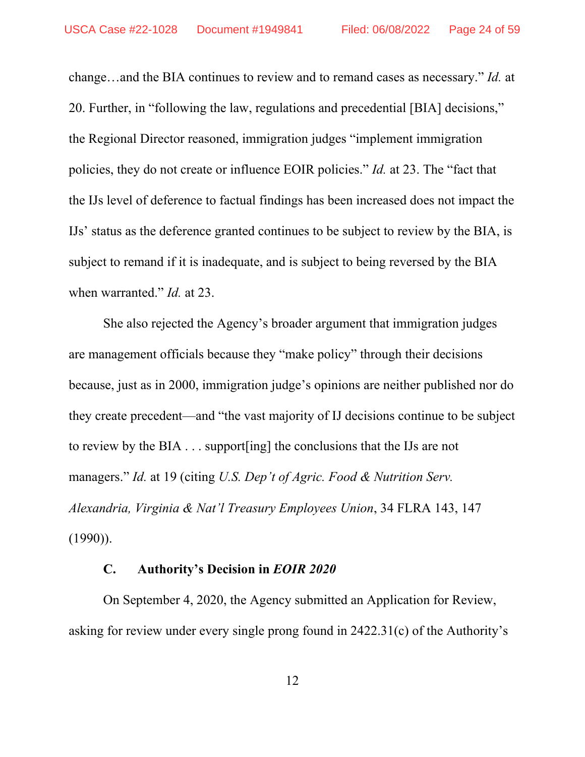change…and the BIA continues to review and to remand cases as necessary." *Id.* at 20. Further, in "following the law, regulations and precedential [BIA] decisions," the Regional Director reasoned, immigration judges "implement immigration policies, they do not create or influence EOIR policies." *Id.* at 23. The "fact that the IJs level of deference to factual findings has been increased does not impact the IJs' status as the deference granted continues to be subject to review by the BIA, is subject to remand if it is inadequate, and is subject to being reversed by the BIA when warranted." *Id.* at 23.

She also rejected the Agency's broader argument that immigration judges are management officials because they "make policy" through their decisions because, just as in 2000, immigration judge's opinions are neither published nor do they create precedent—and "the vast majority of IJ decisions continue to be subject to review by the BIA . . . support[ing] the conclusions that the IJs are not managers." *Id.* at 19 (citing *U.S. Dep't of Agric. Food & Nutrition Serv. Alexandria, Virginia & Nat'l Treasury Employees Union*, 34 FLRA 143, 147  $(1990)$ ).

#### **C. Authority's Decision in** *EOIR 2020*

<span id="page-23-0"></span>On September 4, 2020, the Agency submitted an Application for Review, asking for review under every single prong found in 2422.31(c) of the Authority's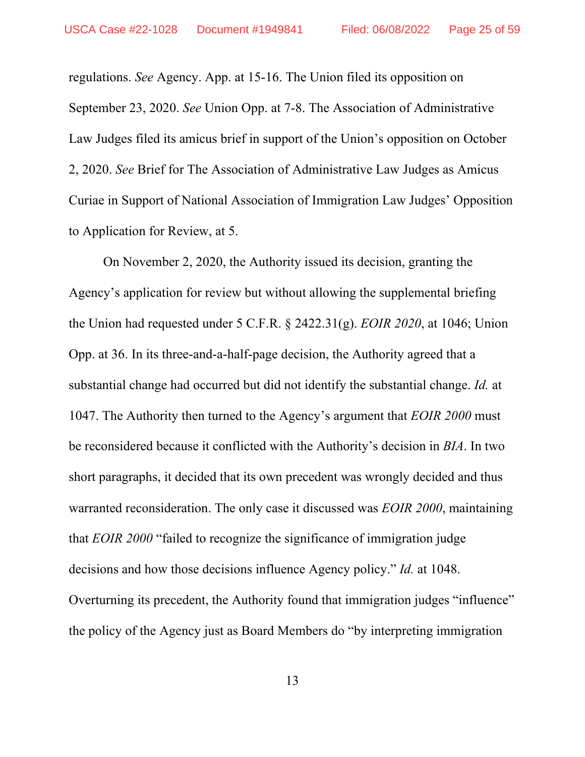regulations. *See* Agency. App. at 15-16. The Union filed its opposition on September 23, 2020. *See* Union Opp. at 7-8. The Association of Administrative Law Judges filed its amicus brief in support of the Union's opposition on October 2, 2020. *See* Brief for The Association of Administrative Law Judges as Amicus Curiae in Support of National Association of Immigration Law Judges' Opposition to Application for Review, at 5.

On November 2, 2020, the Authority issued its decision, granting the Agency's application for review but without allowing the supplemental briefing the Union had requested under 5 C.F.R. § 2422.31(g). *EOIR 2020*, at 1046; Union Opp. at 36. In its three-and-a-half-page decision, the Authority agreed that a substantial change had occurred but did not identify the substantial change. *Id.* at 1047. The Authority then turned to the Agency's argument that *EOIR 2000* must be reconsidered because it conflicted with the Authority's decision in *BIA*. In two short paragraphs, it decided that its own precedent was wrongly decided and thus warranted reconsideration. The only case it discussed was *EOIR 2000*, maintaining that *EOIR 2000* "failed to recognize the significance of immigration judge decisions and how those decisions influence Agency policy." *Id.* at 1048. Overturning its precedent, the Authority found that immigration judges "influence" the policy of the Agency just as Board Members do "by interpreting immigration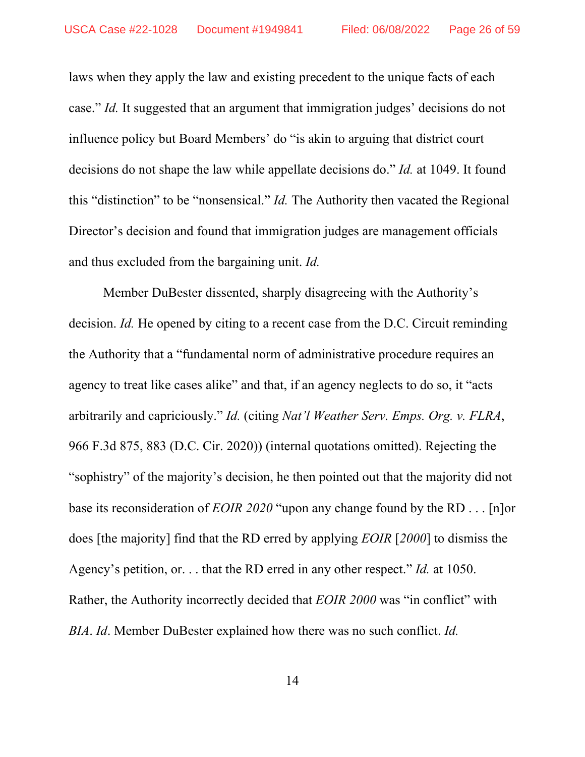laws when they apply the law and existing precedent to the unique facts of each case." *Id.* It suggested that an argument that immigration judges' decisions do not influence policy but Board Members' do "is akin to arguing that district court decisions do not shape the law while appellate decisions do." *Id.* at 1049. It found this "distinction" to be "nonsensical." *Id.* The Authority then vacated the Regional Director's decision and found that immigration judges are management officials and thus excluded from the bargaining unit. *Id.*

Member DuBester dissented, sharply disagreeing with the Authority's decision. *Id.* He opened by citing to a recent case from the D.C. Circuit reminding the Authority that a "fundamental norm of administrative procedure requires an agency to treat like cases alike" and that, if an agency neglects to do so, it "acts arbitrarily and capriciously." *Id.* (citing *Nat'l Weather Serv. Emps. Org. v. FLRA*, 966 F.3d 875, 883 (D.C. Cir. 2020)) (internal quotations omitted). Rejecting the "sophistry" of the majority's decision, he then pointed out that the majority did not base its reconsideration of *EOIR 2020* "upon any change found by the RD . . . [n]or does [the majority] find that the RD erred by applying *EOIR* [*2000*] to dismiss the Agency's petition, or. . . that the RD erred in any other respect." *Id.* at 1050. Rather, the Authority incorrectly decided that *EOIR 2000* was "in conflict" with *BIA*. *Id*. Member DuBester explained how there was no such conflict. *Id.*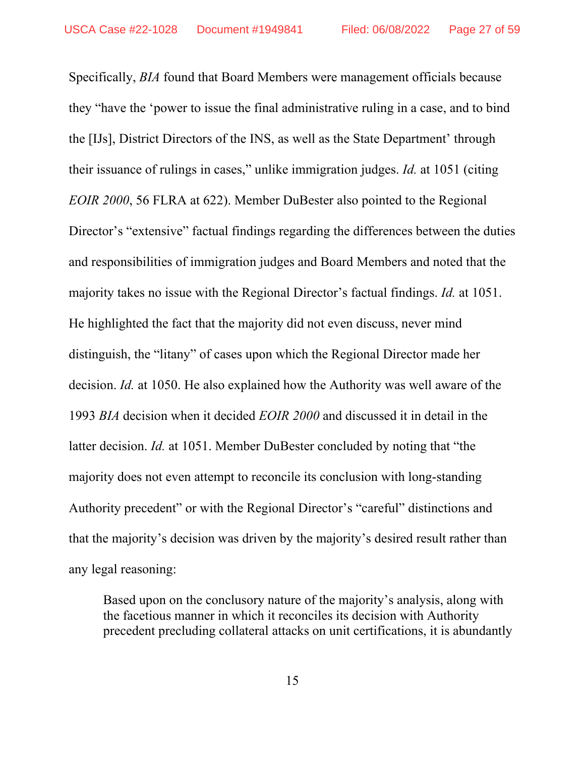Specifically, *BIA* found that Board Members were management officials because they "have the 'power to issue the final administrative ruling in a case, and to bind the [IJs], District Directors of the INS, as well as the State Department' through their issuance of rulings in cases," unlike immigration judges. *Id.* at 1051 (citing *EOIR 2000*, 56 FLRA at 622). Member DuBester also pointed to the Regional Director's "extensive" factual findings regarding the differences between the duties and responsibilities of immigration judges and Board Members and noted that the majority takes no issue with the Regional Director's factual findings. *Id.* at 1051. He highlighted the fact that the majority did not even discuss, never mind distinguish, the "litany" of cases upon which the Regional Director made her decision. *Id.* at 1050. He also explained how the Authority was well aware of the 1993 *BIA* decision when it decided *EOIR 2000* and discussed it in detail in the latter decision. *Id.* at 1051. Member DuBester concluded by noting that "the majority does not even attempt to reconcile its conclusion with long-standing Authority precedent" or with the Regional Director's "careful" distinctions and that the majority's decision was driven by the majority's desired result rather than any legal reasoning:

Based upon on the conclusory nature of the majority's analysis, along with the facetious manner in which it reconciles its decision with Authority precedent precluding collateral attacks on unit certifications, it is abundantly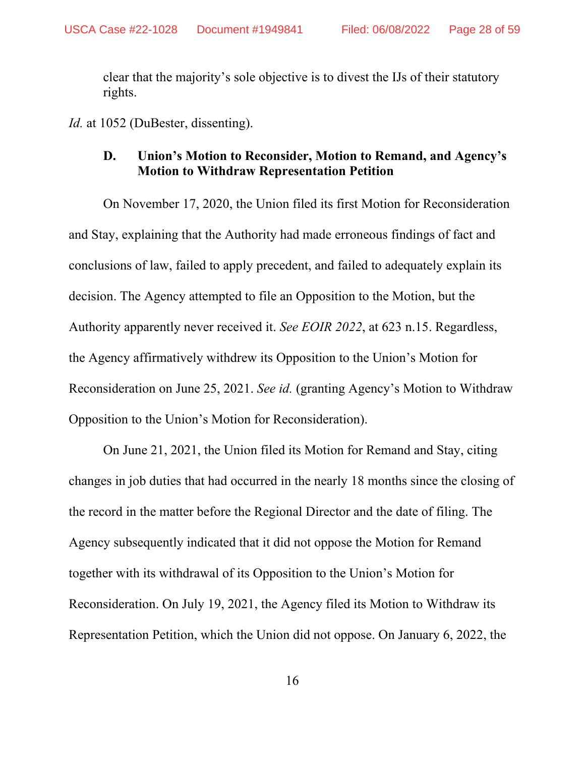clear that the majority's sole objective is to divest the IJs of their statutory rights.

<span id="page-27-0"></span>*Id.* at 1052 (DuBester, dissenting).

### **D. Union's Motion to Reconsider, Motion to Remand, and Agency's Motion to Withdraw Representation Petition**

On November 17, 2020, the Union filed its first Motion for Reconsideration and Stay, explaining that the Authority had made erroneous findings of fact and conclusions of law, failed to apply precedent, and failed to adequately explain its decision. The Agency attempted to file an Opposition to the Motion, but the Authority apparently never received it. *See EOIR 2022*, at 623 n.15. Regardless, the Agency affirmatively withdrew its Opposition to the Union's Motion for Reconsideration on June 25, 2021. *See id.* (granting Agency's Motion to Withdraw Opposition to the Union's Motion for Reconsideration).

On June 21, 2021, the Union filed its Motion for Remand and Stay, citing changes in job duties that had occurred in the nearly 18 months since the closing of the record in the matter before the Regional Director and the date of filing. The Agency subsequently indicated that it did not oppose the Motion for Remand together with its withdrawal of its Opposition to the Union's Motion for Reconsideration. On July 19, 2021, the Agency filed its Motion to Withdraw its Representation Petition, which the Union did not oppose. On January 6, 2022, the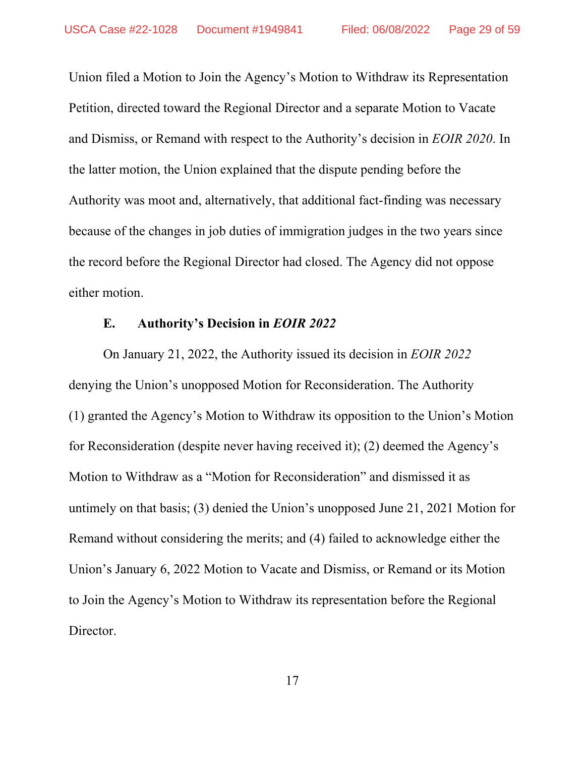Union filed a Motion to Join the Agency's Motion to Withdraw its Representation Petition, directed toward the Regional Director and a separate Motion to Vacate and Dismiss, or Remand with respect to the Authority's decision in *EOIR 2020*. In the latter motion, the Union explained that the dispute pending before the Authority was moot and, alternatively, that additional fact-finding was necessary because of the changes in job duties of immigration judges in the two years since the record before the Regional Director had closed. The Agency did not oppose either motion.

### **E. Authority's Decision in** *EOIR 2022*

<span id="page-28-0"></span>On January 21, 2022, the Authority issued its decision in *EOIR 2022* denying the Union's unopposed Motion for Reconsideration. The Authority (1) granted the Agency's Motion to Withdraw its opposition to the Union's Motion for Reconsideration (despite never having received it); (2) deemed the Agency's Motion to Withdraw as a "Motion for Reconsideration" and dismissed it as untimely on that basis; (3) denied the Union's unopposed June 21, 2021 Motion for Remand without considering the merits; and (4) failed to acknowledge either the Union's January 6, 2022 Motion to Vacate and Dismiss, or Remand or its Motion to Join the Agency's Motion to Withdraw its representation before the Regional Director.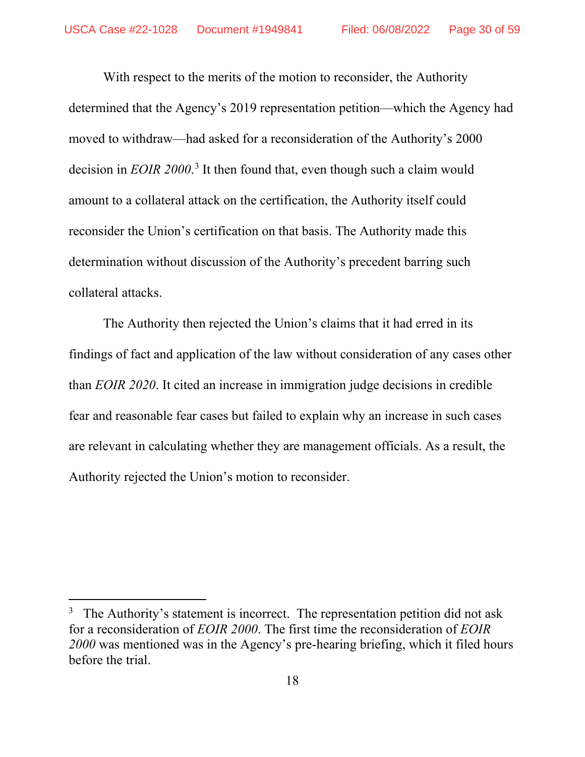With respect to the merits of the motion to reconsider, the Authority determined that the Agency's 2019 representation petition—which the Agency had moved to withdraw—had asked for a reconsideration of the Authority's 2000 decision in *EOIR 2000*. [3](#page-29-0) It then found that, even though such a claim would amount to a collateral attack on the certification, the Authority itself could reconsider the Union's certification on that basis. The Authority made this determination without discussion of the Authority's precedent barring such collateral attacks.

The Authority then rejected the Union's claims that it had erred in its findings of fact and application of the law without consideration of any cases other than *EOIR 2020*. It cited an increase in immigration judge decisions in credible fear and reasonable fear cases but failed to explain why an increase in such cases are relevant in calculating whether they are management officials. As a result, the Authority rejected the Union's motion to reconsider.

<span id="page-29-0"></span><sup>3</sup> The Authority's statement is incorrect. The representation petition did not ask for a reconsideration of *EOIR 2000*. The first time the reconsideration of *EOIR 2000* was mentioned was in the Agency's pre-hearing briefing, which it filed hours before the trial.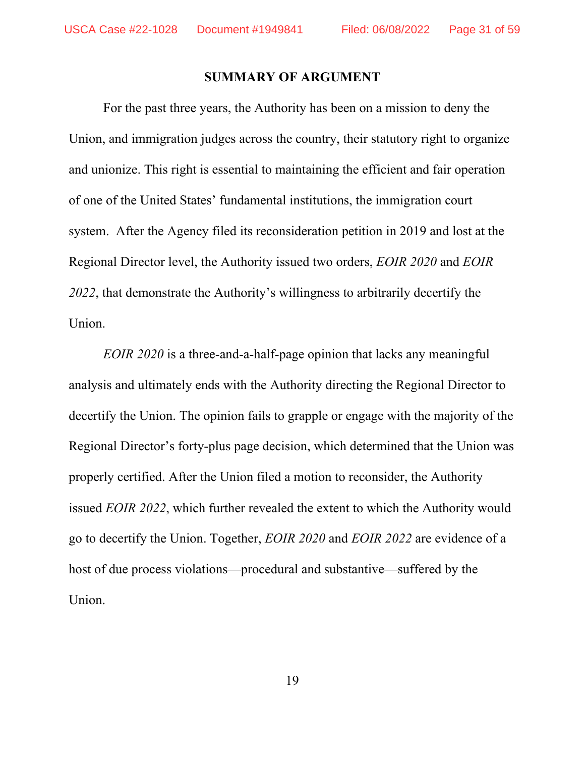#### **SUMMARY OF ARGUMENT**

<span id="page-30-0"></span>For the past three years, the Authority has been on a mission to deny the Union, and immigration judges across the country, their statutory right to organize and unionize. This right is essential to maintaining the efficient and fair operation of one of the United States' fundamental institutions, the immigration court system. After the Agency filed its reconsideration petition in 2019 and lost at the Regional Director level, the Authority issued two orders, *EOIR 2020* and *EOIR 2022*, that demonstrate the Authority's willingness to arbitrarily decertify the Union.

*EOIR 2020* is a three-and-a-half-page opinion that lacks any meaningful analysis and ultimately ends with the Authority directing the Regional Director to decertify the Union. The opinion fails to grapple or engage with the majority of the Regional Director's forty-plus page decision, which determined that the Union was properly certified. After the Union filed a motion to reconsider, the Authority issued *EOIR 2022*, which further revealed the extent to which the Authority would go to decertify the Union. Together, *EOIR 2020* and *EOIR 2022* are evidence of a host of due process violations—procedural and substantive—suffered by the Union.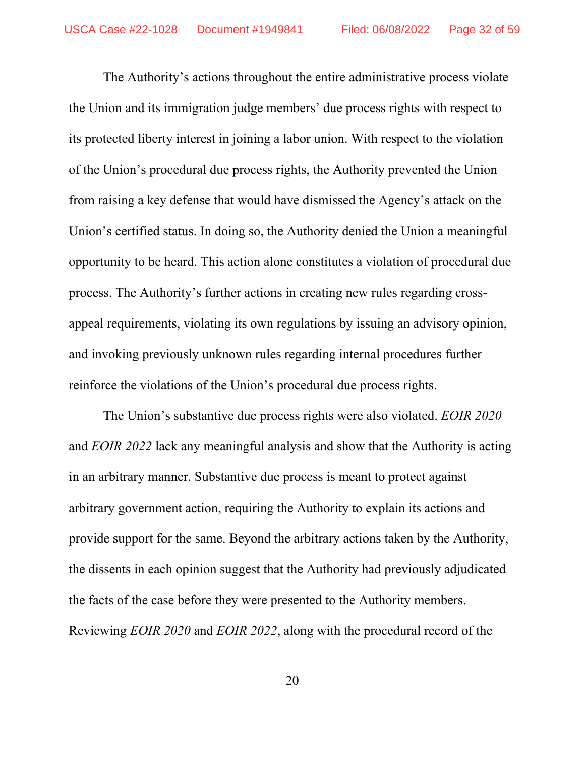The Authority's actions throughout the entire administrative process violate the Union and its immigration judge members' due process rights with respect to its protected liberty interest in joining a labor union. With respect to the violation of the Union's procedural due process rights, the Authority prevented the Union from raising a key defense that would have dismissed the Agency's attack on the Union's certified status. In doing so, the Authority denied the Union a meaningful opportunity to be heard. This action alone constitutes a violation of procedural due process. The Authority's further actions in creating new rules regarding crossappeal requirements, violating its own regulations by issuing an advisory opinion, and invoking previously unknown rules regarding internal procedures further reinforce the violations of the Union's procedural due process rights.

The Union's substantive due process rights were also violated. *EOIR 2020*  and *EOIR 2022* lack any meaningful analysis and show that the Authority is acting in an arbitrary manner. Substantive due process is meant to protect against arbitrary government action, requiring the Authority to explain its actions and provide support for the same. Beyond the arbitrary actions taken by the Authority, the dissents in each opinion suggest that the Authority had previously adjudicated the facts of the case before they were presented to the Authority members. Reviewing *EOIR 2020* and *EOIR 2022*, along with the procedural record of the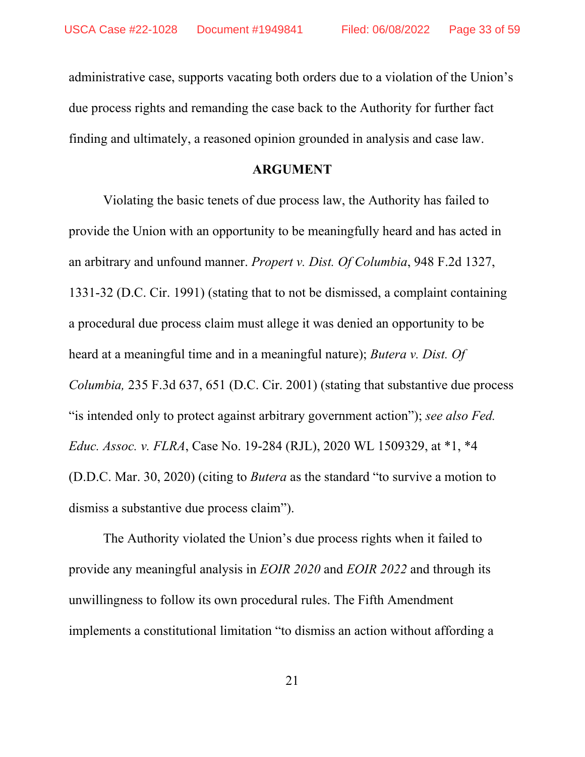administrative case, supports vacating both orders due to a violation of the Union's due process rights and remanding the case back to the Authority for further fact finding and ultimately, a reasoned opinion grounded in analysis and case law.

#### **ARGUMENT**

<span id="page-32-0"></span>Violating the basic tenets of due process law, the Authority has failed to provide the Union with an opportunity to be meaningfully heard and has acted in an arbitrary and unfound manner. *Propert v. Dist. Of Columbia*, 948 F.2d 1327, 1331-32 (D.C. Cir. 1991) (stating that to not be dismissed, a complaint containing a procedural due process claim must allege it was denied an opportunity to be heard at a meaningful time and in a meaningful nature); *Butera v. Dist. Of Columbia,* 235 F.3d 637, 651 (D.C. Cir. 2001) (stating that substantive due process "is intended only to protect against arbitrary government action"); *see also Fed. Educ. Assoc. v. FLRA*, Case No. 19-284 (RJL), 2020 WL 1509329, at \*1, \*4 (D.D.C. Mar. 30, 2020) (citing to *Butera* as the standard "to survive a motion to dismiss a substantive due process claim").

The Authority violated the Union's due process rights when it failed to provide any meaningful analysis in *EOIR 2020* and *EOIR 2022* and through its unwillingness to follow its own procedural rules. The Fifth Amendment implements a constitutional limitation "to dismiss an action without affording a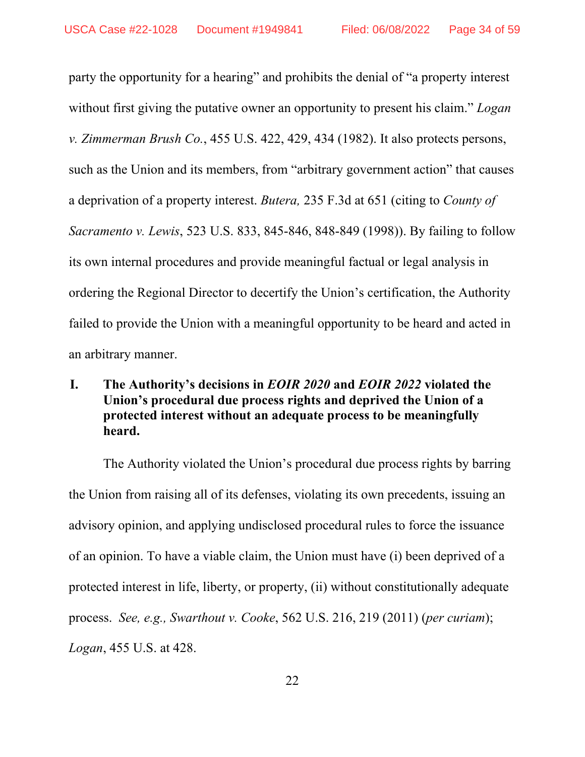party the opportunity for a hearing" and prohibits the denial of "a property interest without first giving the putative owner an opportunity to present his claim." *Logan v. Zimmerman Brush Co.*, 455 U.S. 422, 429, 434 (1982). It also protects persons, such as the Union and its members, from "arbitrary government action" that causes a deprivation of a property interest. *Butera,* 235 F.3d at 651 (citing to *County of Sacramento v. Lewis*, 523 U.S. 833, 845-846, 848-849 (1998)). By failing to follow its own internal procedures and provide meaningful factual or legal analysis in ordering the Regional Director to decertify the Union's certification, the Authority failed to provide the Union with a meaningful opportunity to be heard and acted in an arbitrary manner.

# <span id="page-33-0"></span>**I. The Authority's decisions in** *EOIR 2020* **and** *EOIR 2022* **violated the Union's procedural due process rights and deprived the Union of a protected interest without an adequate process to be meaningfully heard.**

The Authority violated the Union's procedural due process rights by barring the Union from raising all of its defenses, violating its own precedents, issuing an advisory opinion, and applying undisclosed procedural rules to force the issuance of an opinion. To have a viable claim, the Union must have (i) been deprived of a protected interest in life, liberty, or property, (ii) without constitutionally adequate process. *See, e.g., Swarthout v. Cooke*, 562 U.S. 216, 219 (2011) (*per curiam*); *Logan*, 455 U.S. at 428.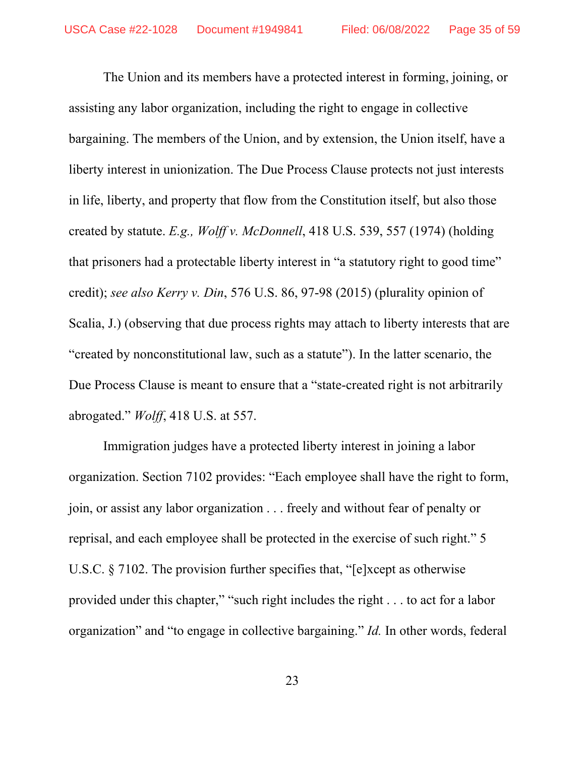The Union and its members have a protected interest in forming, joining, or assisting any labor organization, including the right to engage in collective bargaining. The members of the Union, and by extension, the Union itself, have a liberty interest in unionization. The Due Process Clause protects not just interests in life, liberty, and property that flow from the Constitution itself, but also those created by statute. *E.g., Wolff v. McDonnell*, 418 U.S. 539, 557 (1974) (holding that prisoners had a protectable liberty interest in "a statutory right to good time" credit); *see also Kerry v. Din*, 576 U.S. 86, 97-98 (2015) (plurality opinion of Scalia, J.) (observing that due process rights may attach to liberty interests that are "created by nonconstitutional law, such as a statute"). In the latter scenario, the Due Process Clause is meant to ensure that a "state-created right is not arbitrarily abrogated." *Wolff*, 418 U.S. at 557.

Immigration judges have a protected liberty interest in joining a labor organization. Section 7102 provides: "Each employee shall have the right to form, join, or assist any labor organization . . . freely and without fear of penalty or reprisal, and each employee shall be protected in the exercise of such right." 5 U.S.C. § 7102. The provision further specifies that, "[e]xcept as otherwise provided under this chapter," "such right includes the right . . . to act for a labor organization" and "to engage in collective bargaining." *Id.* In other words, federal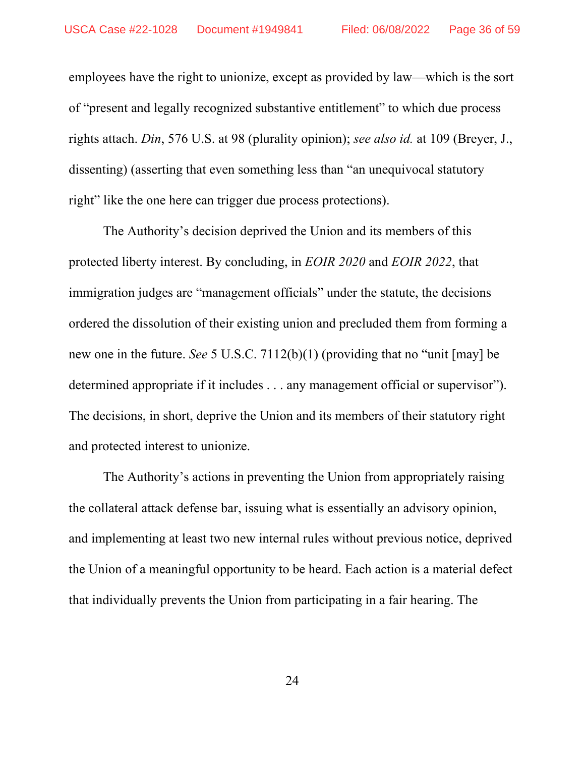employees have the right to unionize, except as provided by law—which is the sort of "present and legally recognized substantive entitlement" to which due process rights attach. *Din*, 576 U.S. at 98 (plurality opinion); *see also id.* at 109 (Breyer, J., dissenting) (asserting that even something less than "an unequivocal statutory right" like the one here can trigger due process protections).

The Authority's decision deprived the Union and its members of this protected liberty interest. By concluding, in *EOIR 2020* and *EOIR 2022*, that immigration judges are "management officials" under the statute, the decisions ordered the dissolution of their existing union and precluded them from forming a new one in the future. *See* 5 U.S.C. 7112(b)(1) (providing that no "unit [may] be determined appropriate if it includes . . . any management official or supervisor"). The decisions, in short, deprive the Union and its members of their statutory right and protected interest to unionize.

The Authority's actions in preventing the Union from appropriately raising the collateral attack defense bar, issuing what is essentially an advisory opinion, and implementing at least two new internal rules without previous notice, deprived the Union of a meaningful opportunity to be heard. Each action is a material defect that individually prevents the Union from participating in a fair hearing. The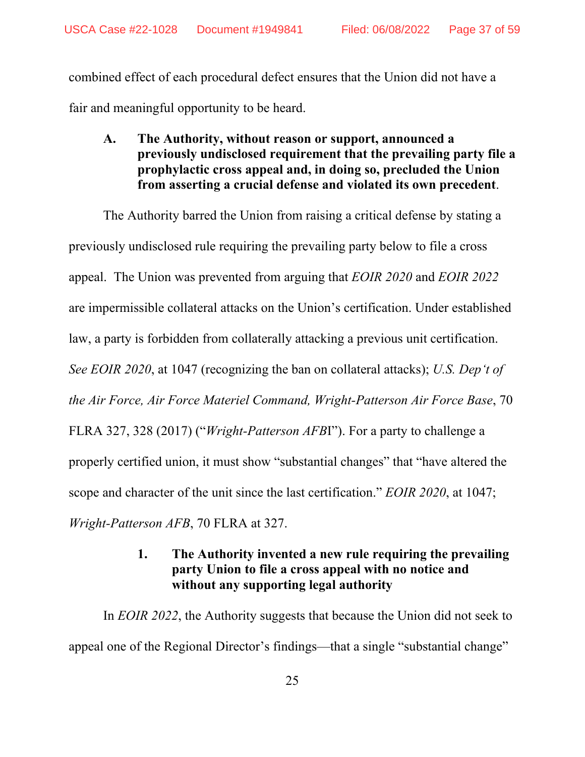combined effect of each procedural defect ensures that the Union did not have a fair and meaningful opportunity to be heard.

<span id="page-36-0"></span>**A. The Authority, without reason or support, announced a previously undisclosed requirement that the prevailing party file a prophylactic cross appeal and, in doing so, precluded the Union from asserting a crucial defense and violated its own precedent**.

The Authority barred the Union from raising a critical defense by stating a previously undisclosed rule requiring the prevailing party below to file a cross appeal. The Union was prevented from arguing that *EOIR 2020* and *EOIR 2022* are impermissible collateral attacks on the Union's certification. Under established law, a party is forbidden from collaterally attacking a previous unit certification. *See EOIR 2020*, at 1047 (recognizing the ban on collateral attacks); *U.S. Dep't of the Air Force, Air Force Materiel Command, Wright-Patterson Air Force Base*, 70 FLRA 327, 328 (2017) ("*Wright-Patterson AFB*I"). For a party to challenge a properly certified union, it must show "substantial changes" that "have altered the scope and character of the unit since the last certification." *EOIR 2020*, at 1047; *Wright-Patterson AFB*, 70 FLRA at 327.

# **1. The Authority invented a new rule requiring the prevailing party Union to file a cross appeal with no notice and without any supporting legal authority**

<span id="page-36-1"></span>In *EOIR 2022*, the Authority suggests that because the Union did not seek to appeal one of the Regional Director's findings—that a single "substantial change"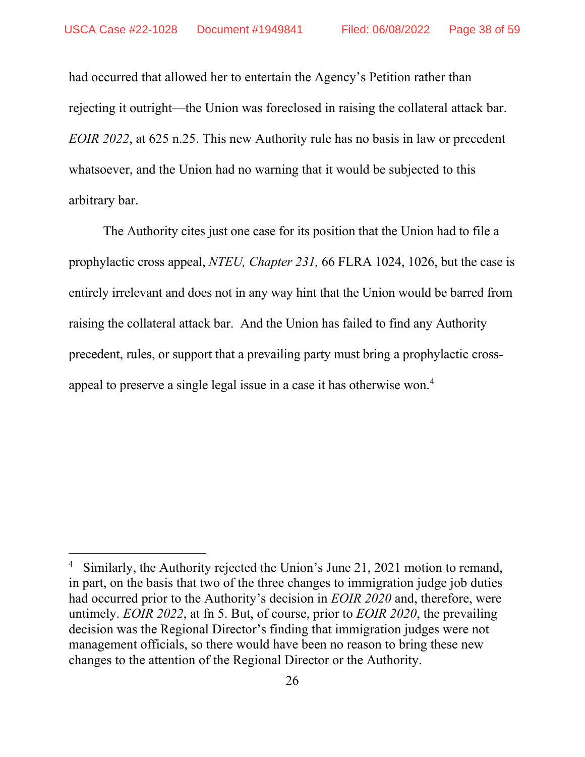had occurred that allowed her to entertain the Agency's Petition rather than rejecting it outright—the Union was foreclosed in raising the collateral attack bar. *EOIR 2022*, at 625 n.25. This new Authority rule has no basis in law or precedent whatsoever, and the Union had no warning that it would be subjected to this arbitrary bar.

The Authority cites just one case for its position that the Union had to file a prophylactic cross appeal, *NTEU, Chapter 231,* 66 FLRA 1024, 1026, but the case is entirely irrelevant and does not in any way hint that the Union would be barred from raising the collateral attack bar. And the Union has failed to find any Authority precedent, rules, or support that a prevailing party must bring a prophylactic crossappeal to preserve a single legal issue in a case it has otherwise won.[4](#page-37-0)

<span id="page-37-0"></span><sup>4</sup> Similarly, the Authority rejected the Union's June 21, 2021 motion to remand, in part, on the basis that two of the three changes to immigration judge job duties had occurred prior to the Authority's decision in *EOIR 2020* and, therefore, were untimely. *EOIR 2022*, at fn 5. But, of course, prior to *EOIR 2020*, the prevailing decision was the Regional Director's finding that immigration judges were not management officials, so there would have been no reason to bring these new changes to the attention of the Regional Director or the Authority.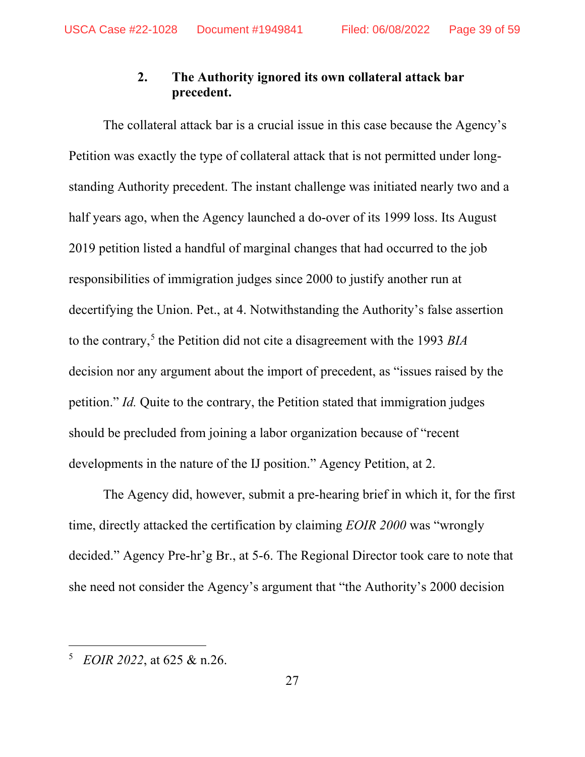# **2. The Authority ignored its own collateral attack bar precedent.**

<span id="page-38-0"></span>The collateral attack bar is a crucial issue in this case because the Agency's Petition was exactly the type of collateral attack that is not permitted under longstanding Authority precedent. The instant challenge was initiated nearly two and a half years ago, when the Agency launched a do-over of its 1999 loss. Its August 2019 petition listed a handful of marginal changes that had occurred to the job responsibilities of immigration judges since 2000 to justify another run at decertifying the Union. Pet., at 4. Notwithstanding the Authority's false assertion to the contrary,[5](#page-38-1) the Petition did not cite a disagreement with the 1993 *BIA* decision nor any argument about the import of precedent, as "issues raised by the petition." *Id.* Quite to the contrary, the Petition stated that immigration judges should be precluded from joining a labor organization because of "recent developments in the nature of the IJ position." Agency Petition, at 2.

The Agency did, however, submit a pre-hearing brief in which it, for the first time, directly attacked the certification by claiming *EOIR 2000* was "wrongly decided." Agency Pre-hr'g Br., at 5-6. The Regional Director took care to note that she need not consider the Agency's argument that "the Authority's 2000 decision

<span id="page-38-1"></span><sup>5</sup> *EOIR 2022*, at 625 & n.26.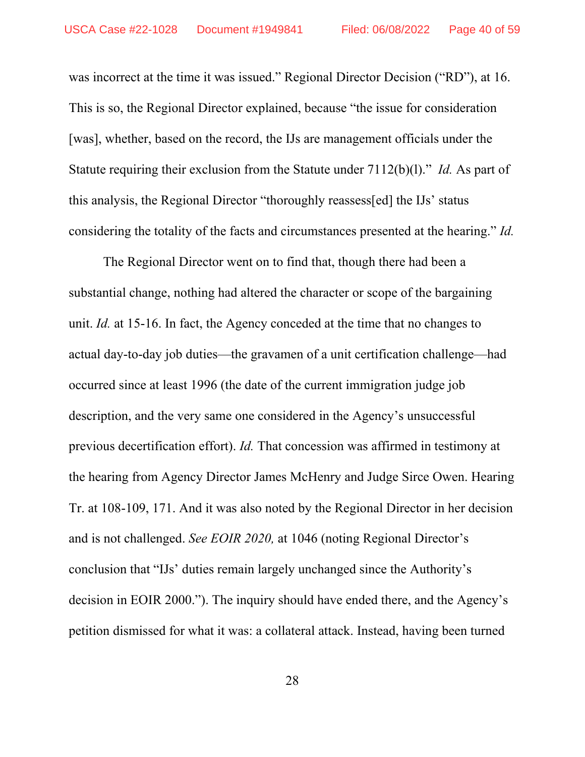was incorrect at the time it was issued." Regional Director Decision ("RD"), at 16. This is so, the Regional Director explained, because "the issue for consideration [was], whether, based on the record, the IJs are management officials under the Statute requiring their exclusion from the Statute under 7112(b)(l)." *Id.* As part of this analysis, the Regional Director "thoroughly reassess[ed] the IJs' status considering the totality of the facts and circumstances presented at the hearing." *Id.*

The Regional Director went on to find that, though there had been a substantial change, nothing had altered the character or scope of the bargaining unit. *Id.* at 15-16. In fact, the Agency conceded at the time that no changes to actual day-to-day job duties—the gravamen of a unit certification challenge—had occurred since at least 1996 (the date of the current immigration judge job description, and the very same one considered in the Agency's unsuccessful previous decertification effort). *Id.* That concession was affirmed in testimony at the hearing from Agency Director James McHenry and Judge Sirce Owen. Hearing Tr. at 108-109, 171. And it was also noted by the Regional Director in her decision and is not challenged. *See EOIR 2020,* at 1046 (noting Regional Director's conclusion that "IJs' duties remain largely unchanged since the Authority's decision in EOIR 2000."). The inquiry should have ended there, and the Agency's petition dismissed for what it was: a collateral attack. Instead, having been turned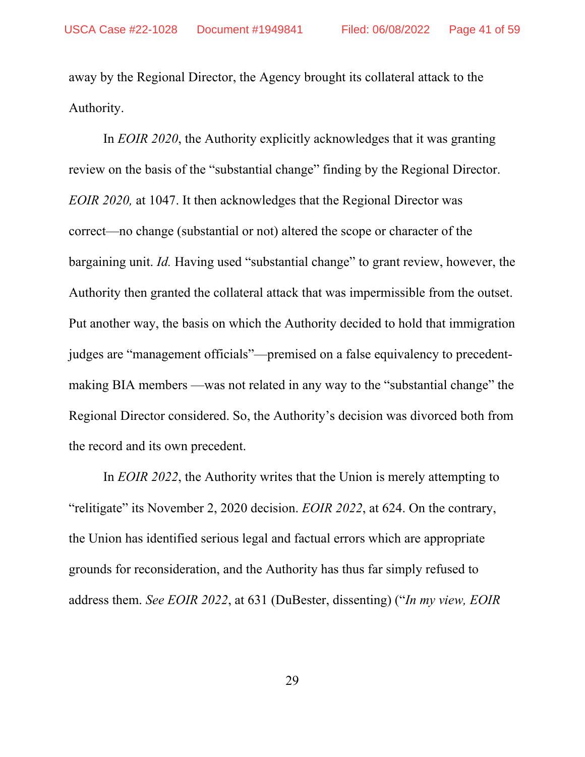away by the Regional Director, the Agency brought its collateral attack to the Authority.

In *EOIR 2020*, the Authority explicitly acknowledges that it was granting review on the basis of the "substantial change" finding by the Regional Director. *EOIR 2020,* at 1047. It then acknowledges that the Regional Director was correct—no change (substantial or not) altered the scope or character of the bargaining unit. *Id.* Having used "substantial change" to grant review, however, the Authority then granted the collateral attack that was impermissible from the outset. Put another way, the basis on which the Authority decided to hold that immigration judges are "management officials"—premised on a false equivalency to precedentmaking BIA members —was not related in any way to the "substantial change" the Regional Director considered. So, the Authority's decision was divorced both from the record and its own precedent.

In *EOIR 2022*, the Authority writes that the Union is merely attempting to "relitigate" its November 2, 2020 decision. *EOIR 2022*, at 624. On the contrary, the Union has identified serious legal and factual errors which are appropriate grounds for reconsideration, and the Authority has thus far simply refused to address them. *See EOIR 2022*, at 631 (DuBester, dissenting) ("*In my view, EOIR*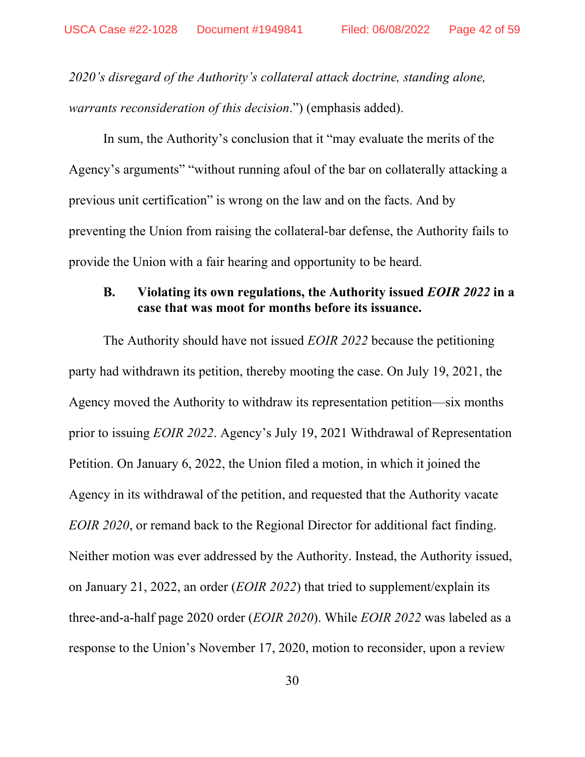*2020's disregard of the Authority's collateral attack doctrine, standing alone, warrants reconsideration of this decision*.") (emphasis added).

In sum, the Authority's conclusion that it "may evaluate the merits of the Agency's arguments" "without running afoul of the bar on collaterally attacking a previous unit certification" is wrong on the law and on the facts. And by preventing the Union from raising the collateral-bar defense, the Authority fails to provide the Union with a fair hearing and opportunity to be heard.

### <span id="page-41-0"></span>**B. Violating its own regulations, the Authority issued** *EOIR 2022* **in a case that was moot for months before its issuance.**

The Authority should have not issued *EOIR 2022* because the petitioning party had withdrawn its petition, thereby mooting the case. On July 19, 2021, the Agency moved the Authority to withdraw its representation petition—six months prior to issuing *EOIR 2022*. Agency's July 19, 2021 Withdrawal of Representation Petition. On January 6, 2022, the Union filed a motion, in which it joined the Agency in its withdrawal of the petition, and requested that the Authority vacate *EOIR 2020*, or remand back to the Regional Director for additional fact finding. Neither motion was ever addressed by the Authority. Instead, the Authority issued, on January 21, 2022, an order (*EOIR 2022*) that tried to supplement/explain its three-and-a-half page 2020 order (*EOIR 2020*). While *EOIR 2022* was labeled as a response to the Union's November 17, 2020, motion to reconsider, upon a review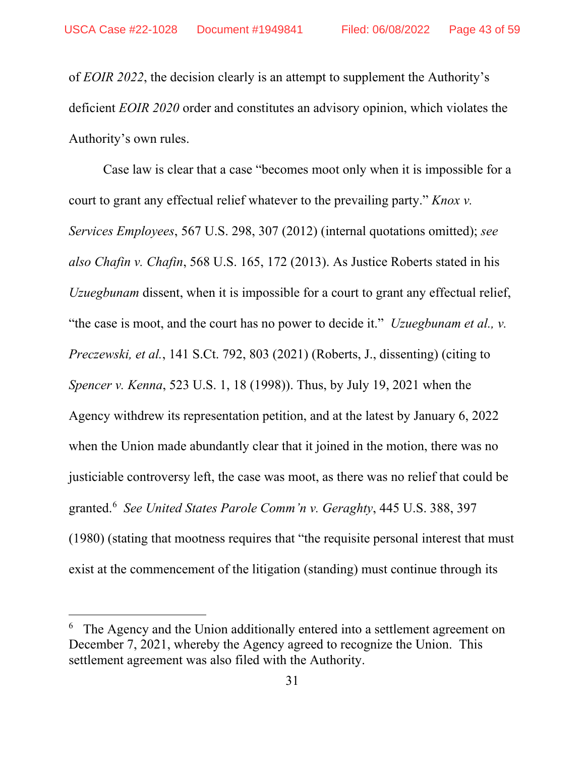of *EOIR 2022*, the decision clearly is an attempt to supplement the Authority's deficient *EOIR 2020* order and constitutes an advisory opinion, which violates the Authority's own rules.

Case law is clear that a case "becomes moot only when it is impossible for a court to grant any effectual relief whatever to the prevailing party." *Knox v. Services Employees*, 567 U.S. 298, 307 (2012) (internal quotations omitted); *see also Chafin v. Chafin*, 568 U.S. 165, 172 (2013). As Justice Roberts stated in his *Uzuegbunam* dissent, when it is impossible for a court to grant any effectual relief, "the case is moot, and the court has no power to decide it." *Uzuegbunam et al., v. Preczewski, et al.*, 141 S.Ct. 792, 803 (2021) (Roberts, J., dissenting) (citing to *Spencer v. Kenna*, 523 U.S. 1, 18 (1998)). Thus, by July 19, 2021 when the Agency withdrew its representation petition, and at the latest by January 6, 2022 when the Union made abundantly clear that it joined in the motion, there was no justiciable controversy left, the case was moot, as there was no relief that could be granted.[6](#page-42-0) *See United States Parole Comm'n v. Geraghty*, 445 U.S. 388, 397 (1980) (stating that mootness requires that "the requisite personal interest that must exist at the commencement of the litigation (standing) must continue through its

<span id="page-42-0"></span><sup>6</sup> The Agency and the Union additionally entered into a settlement agreement on December 7, 2021, whereby the Agency agreed to recognize the Union. This settlement agreement was also filed with the Authority.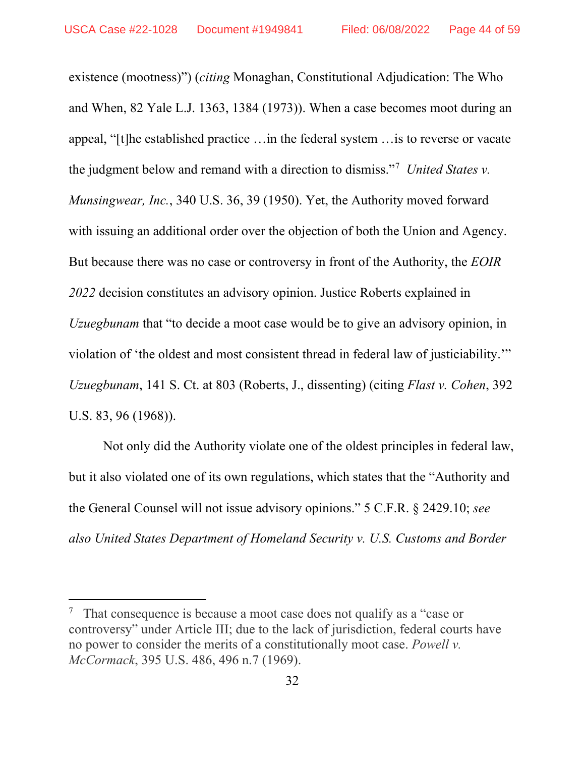existence (mootness)") (*citing* Monaghan, Constitutional Adjudication: The Who and When, 82 Yale L.J. 1363, 1384 (1973)). When a case becomes moot during an appeal, "[t]he established practice …in the federal system …is to reverse or vacate the judgment below and remand with a direction to dismiss."[7](#page-43-0) *United States v. Munsingwear, Inc.*, 340 U.S. 36, 39 (1950). Yet, the Authority moved forward with issuing an additional order over the objection of both the Union and Agency. But because there was no case or controversy in front of the Authority, the *EOIR 2022* decision constitutes an advisory opinion. Justice Roberts explained in *Uzuegbunam* that "to decide a moot case would be to give an advisory opinion, in violation of 'the oldest and most consistent thread in federal law of justiciability.'" *Uzuegbunam*, 141 S. Ct. at 803 (Roberts, J., dissenting) (citing *Flast v. Cohen*, 392 U.S. 83, 96 (1968)).

Not only did the Authority violate one of the oldest principles in federal law, but it also violated one of its own regulations, which states that the "Authority and the General Counsel will not issue advisory opinions." 5 C.F.R. § 2429.10; *see also United States Department of Homeland Security v. U.S. Customs and Border* 

<span id="page-43-0"></span>That consequence is because a moot case does not qualify as a "case or controversy" under Article III; due to the lack of jurisdiction, federal courts have no power to consider the merits of a constitutionally moot case. *Powell v. McCormack*, 395 U.S. 486, 496 n.7 (1969).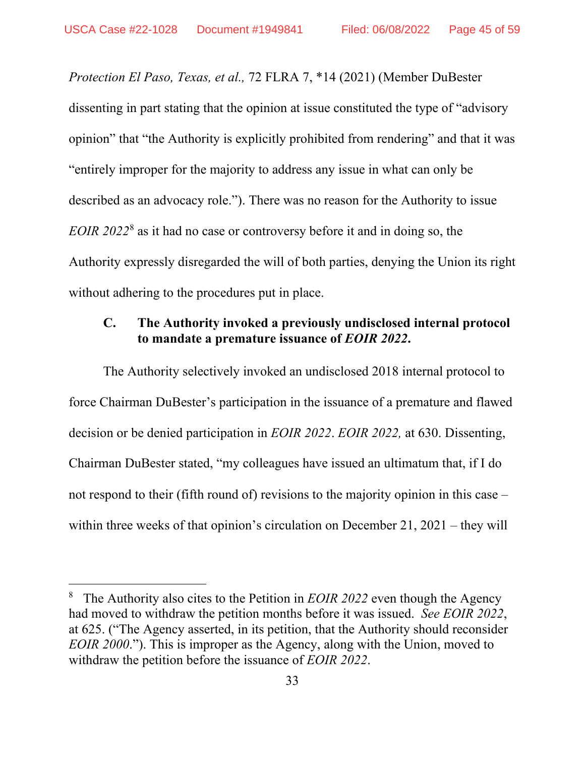*Protection El Paso, Texas, et al.,* 72 FLRA 7, \*14 (2021) (Member DuBester dissenting in part stating that the opinion at issue constituted the type of "advisory opinion" that "the Authority is explicitly prohibited from rendering" and that it was "entirely improper for the majority to address any issue in what can only be described as an advocacy role."). There was no reason for the Authority to issue *EOIR 2022*[8](#page-44-1) as it had no case or controversy before it and in doing so, the Authority expressly disregarded the will of both parties, denying the Union its right without adhering to the procedures put in place.

# <span id="page-44-0"></span>**C. The Authority invoked a previously undisclosed internal protocol to mandate a premature issuance of** *EOIR 2022***.**

The Authority selectively invoked an undisclosed 2018 internal protocol to force Chairman DuBester's participation in the issuance of a premature and flawed decision or be denied participation in *EOIR 2022*. *EOIR 2022,* at 630. Dissenting, Chairman DuBester stated, "my colleagues have issued an ultimatum that, if I do not respond to their (fifth round of) revisions to the majority opinion in this case – within three weeks of that opinion's circulation on December 21, 2021 – they will

<span id="page-44-1"></span><sup>&</sup>lt;sup>8</sup> The Authority also cites to the Petition in *EOIR 2022* even though the Agency had moved to withdraw the petition months before it was issued. *See EOIR 2022*, at 625. ("The Agency asserted, in its petition, that the Authority should reconsider *EOIR 2000*."). This is improper as the Agency, along with the Union, moved to withdraw the petition before the issuance of *EOIR 2022*.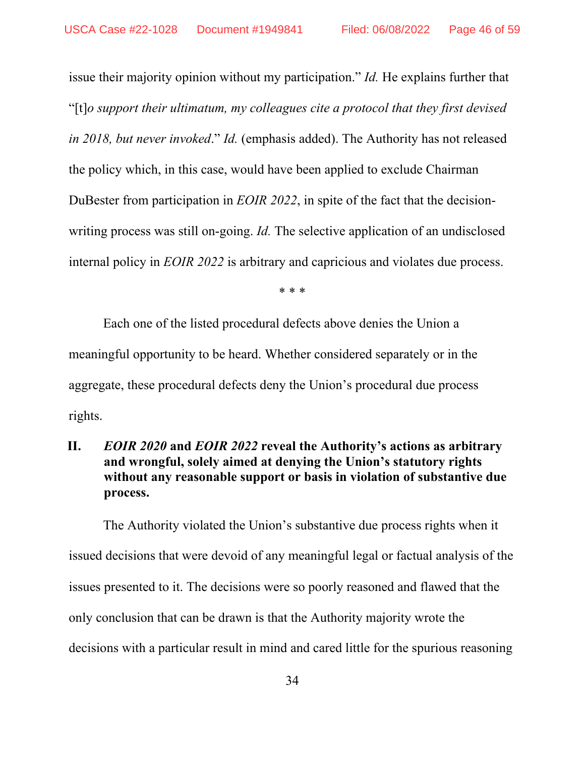issue their majority opinion without my participation." *Id.* He explains further that "[t]*o support their ultimatum, my colleagues cite a protocol that they first devised in 2018, but never invoked*." *Id.* (emphasis added). The Authority has not released the policy which, in this case, would have been applied to exclude Chairman DuBester from participation in *EOIR 2022*, in spite of the fact that the decisionwriting process was still on-going. *Id.* The selective application of an undisclosed internal policy in *EOIR 2022* is arbitrary and capricious and violates due process.

\* \* \*

Each one of the listed procedural defects above denies the Union a meaningful opportunity to be heard. Whether considered separately or in the aggregate, these procedural defects deny the Union's procedural due process rights.

# <span id="page-45-0"></span>**II.** *EOIR 2020* **and** *EOIR 2022* **reveal the Authority's actions as arbitrary and wrongful, solely aimed at denying the Union's statutory rights without any reasonable support or basis in violation of substantive due process.**

The Authority violated the Union's substantive due process rights when it issued decisions that were devoid of any meaningful legal or factual analysis of the issues presented to it. The decisions were so poorly reasoned and flawed that the only conclusion that can be drawn is that the Authority majority wrote the decisions with a particular result in mind and cared little for the spurious reasoning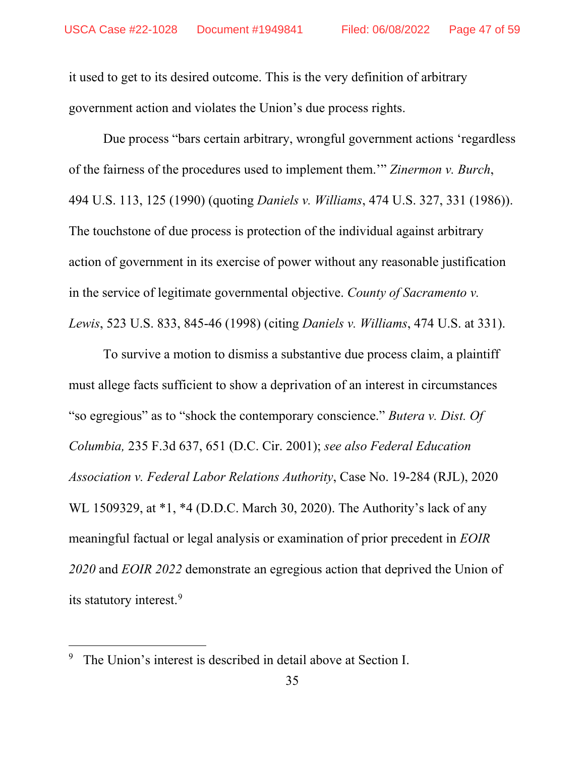it used to get to its desired outcome. This is the very definition of arbitrary government action and violates the Union's due process rights.

Due process "bars certain arbitrary, wrongful government actions 'regardless of the fairness of the procedures used to implement them.'" *Zinermon v. Burch*, 494 U.S. 113, 125 (1990) (quoting *Daniels v. Williams*, 474 U.S. 327, 331 (1986)). The touchstone of due process is protection of the individual against arbitrary action of government in its exercise of power without any reasonable justification in the service of legitimate governmental objective. *County of Sacramento v. Lewis*, 523 U.S. 833, 845-46 (1998) (citing *Daniels v. Williams*, 474 U.S. at 331).

To survive a motion to dismiss a substantive due process claim, a plaintiff must allege facts sufficient to show a deprivation of an interest in circumstances "so egregious" as to "shock the contemporary conscience." *Butera v. Dist. Of Columbia,* 235 F.3d 637, 651 (D.C. Cir. 2001); *see also Federal Education Association v. Federal Labor Relations Authority*, Case No. 19-284 (RJL), 2020 WL 1509329, at \*1, \*4 (D.D.C. March 30, 2020). The Authority's lack of any meaningful factual or legal analysis or examination of prior precedent in *EOIR 2020* and *EOIR 2022* demonstrate an egregious action that deprived the Union of its statutory interest.<sup>[9](#page-46-0)</sup>

<span id="page-46-0"></span><sup>&</sup>lt;sup>9</sup> The Union's interest is described in detail above at Section I.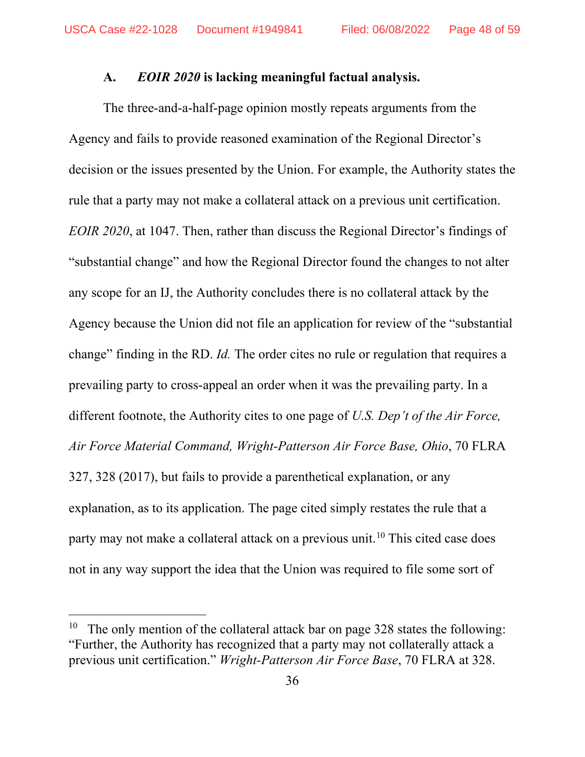#### **A.** *EOIR 2020* **is lacking meaningful factual analysis.**

<span id="page-47-0"></span>The three-and-a-half-page opinion mostly repeats arguments from the Agency and fails to provide reasoned examination of the Regional Director's decision or the issues presented by the Union. For example, the Authority states the rule that a party may not make a collateral attack on a previous unit certification. *EOIR 2020*, at 1047. Then, rather than discuss the Regional Director's findings of "substantial change" and how the Regional Director found the changes to not alter any scope for an IJ, the Authority concludes there is no collateral attack by the Agency because the Union did not file an application for review of the "substantial change" finding in the RD. *Id.* The order cites no rule or regulation that requires a prevailing party to cross-appeal an order when it was the prevailing party. In a different footnote, the Authority cites to one page of *U.S. Dep't of the Air Force, Air Force Material Command, Wright-Patterson Air Force Base, Ohio*, 70 FLRA 327, 328 (2017), but fails to provide a parenthetical explanation, or any explanation, as to its application. The page cited simply restates the rule that a party may not make a collateral attack on a previous unit.<sup>[10](#page-47-1)</sup> This cited case does not in any way support the idea that the Union was required to file some sort of

<span id="page-47-1"></span><sup>&</sup>lt;sup>10</sup> The only mention of the collateral attack bar on page 328 states the following: "Further, the Authority has recognized that a party may not collaterally attack a previous unit certification." *Wright-Patterson Air Force Base*, 70 FLRA at 328.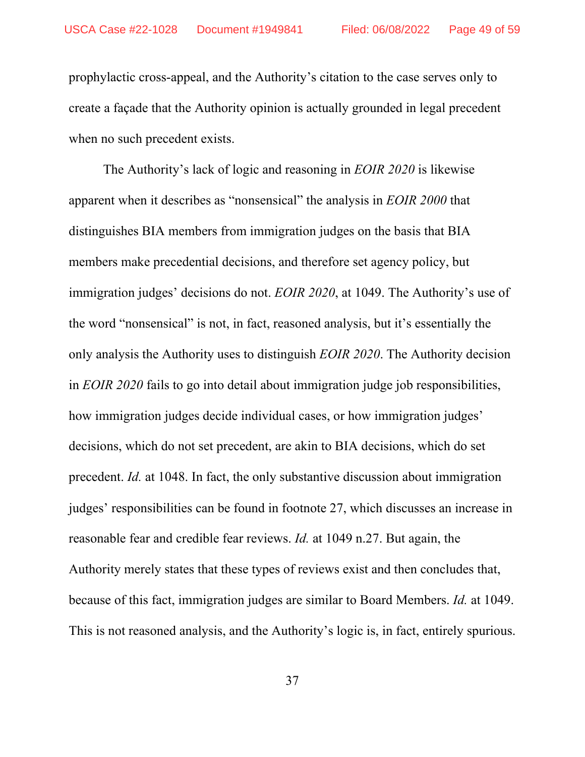prophylactic cross-appeal, and the Authority's citation to the case serves only to create a façade that the Authority opinion is actually grounded in legal precedent when no such precedent exists.

The Authority's lack of logic and reasoning in *EOIR 2020* is likewise apparent when it describes as "nonsensical" the analysis in *EOIR 2000* that distinguishes BIA members from immigration judges on the basis that BIA members make precedential decisions, and therefore set agency policy, but immigration judges' decisions do not. *EOIR 2020*, at 1049. The Authority's use of the word "nonsensical" is not, in fact, reasoned analysis, but it's essentially the only analysis the Authority uses to distinguish *EOIR 2020*. The Authority decision in *EOIR 2020* fails to go into detail about immigration judge job responsibilities, how immigration judges decide individual cases, or how immigration judges' decisions, which do not set precedent, are akin to BIA decisions, which do set precedent. *Id.* at 1048. In fact, the only substantive discussion about immigration judges' responsibilities can be found in footnote 27, which discusses an increase in reasonable fear and credible fear reviews. *Id.* at 1049 n.27. But again, the Authority merely states that these types of reviews exist and then concludes that, because of this fact, immigration judges are similar to Board Members. *Id.* at 1049. This is not reasoned analysis, and the Authority's logic is, in fact, entirely spurious.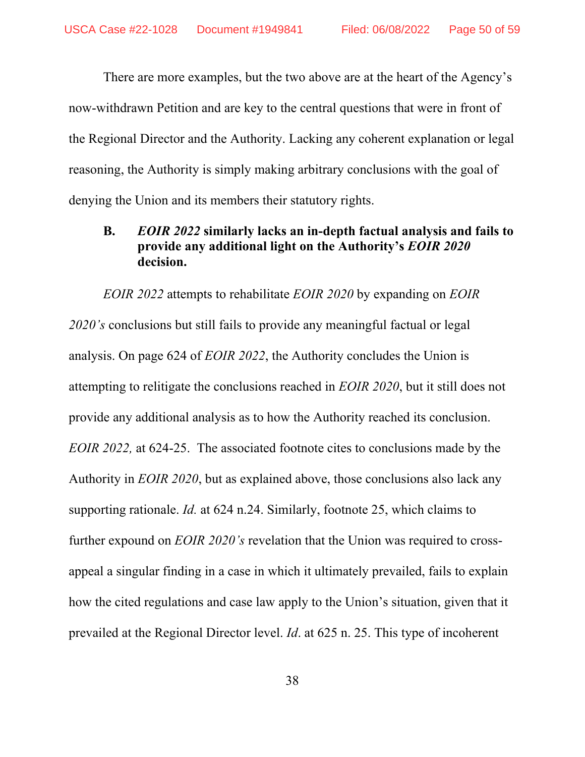There are more examples, but the two above are at the heart of the Agency's now-withdrawn Petition and are key to the central questions that were in front of the Regional Director and the Authority. Lacking any coherent explanation or legal reasoning, the Authority is simply making arbitrary conclusions with the goal of denying the Union and its members their statutory rights.

# <span id="page-49-0"></span>**B.** *EOIR 2022* **similarly lacks an in-depth factual analysis and fails to provide any additional light on the Authority's** *EOIR 2020* **decision.**

*EOIR 2022* attempts to rehabilitate *EOIR 2020* by expanding on *EOIR 2020's* conclusions but still fails to provide any meaningful factual or legal analysis. On page 624 of *EOIR 2022*, the Authority concludes the Union is attempting to relitigate the conclusions reached in *EOIR 2020*, but it still does not provide any additional analysis as to how the Authority reached its conclusion. *EOIR 2022,* at 624-25. The associated footnote cites to conclusions made by the Authority in *EOIR 2020*, but as explained above, those conclusions also lack any supporting rationale. *Id.* at 624 n.24. Similarly, footnote 25, which claims to further expound on *EOIR 2020's* revelation that the Union was required to crossappeal a singular finding in a case in which it ultimately prevailed, fails to explain how the cited regulations and case law apply to the Union's situation, given that it prevailed at the Regional Director level. *Id*. at 625 n. 25. This type of incoherent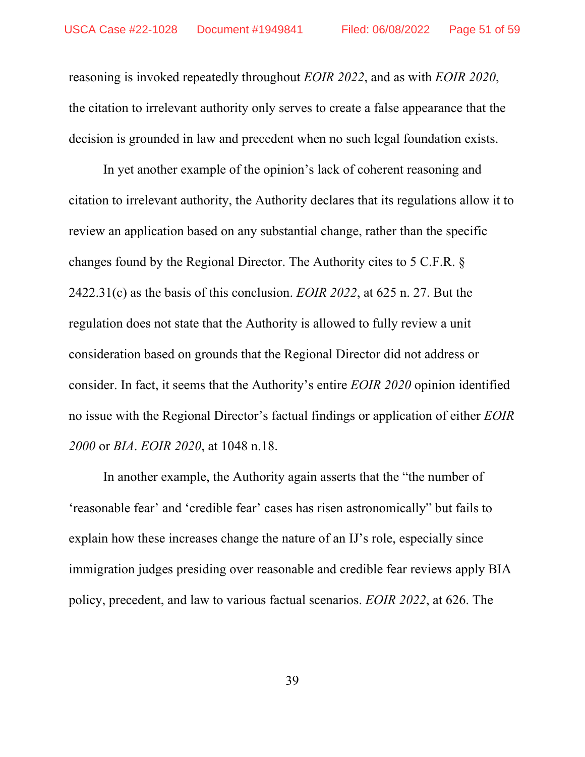reasoning is invoked repeatedly throughout *EOIR 2022*, and as with *EOIR 2020*, the citation to irrelevant authority only serves to create a false appearance that the decision is grounded in law and precedent when no such legal foundation exists.

In yet another example of the opinion's lack of coherent reasoning and citation to irrelevant authority, the Authority declares that its regulations allow it to review an application based on any substantial change, rather than the specific changes found by the Regional Director. The Authority cites to 5 C.F.R. § 2422.31(c) as the basis of this conclusion. *EOIR 2022*, at 625 n. 27. But the regulation does not state that the Authority is allowed to fully review a unit consideration based on grounds that the Regional Director did not address or consider. In fact, it seems that the Authority's entire *EOIR 2020* opinion identified no issue with the Regional Director's factual findings or application of either *EOIR 2000* or *BIA*. *EOIR 2020*, at 1048 n.18.

In another example, the Authority again asserts that the "the number of 'reasonable fear' and 'credible fear' cases has risen astronomically" but fails to explain how these increases change the nature of an IJ's role, especially since immigration judges presiding over reasonable and credible fear reviews apply BIA policy, precedent, and law to various factual scenarios. *EOIR 2022*, at 626. The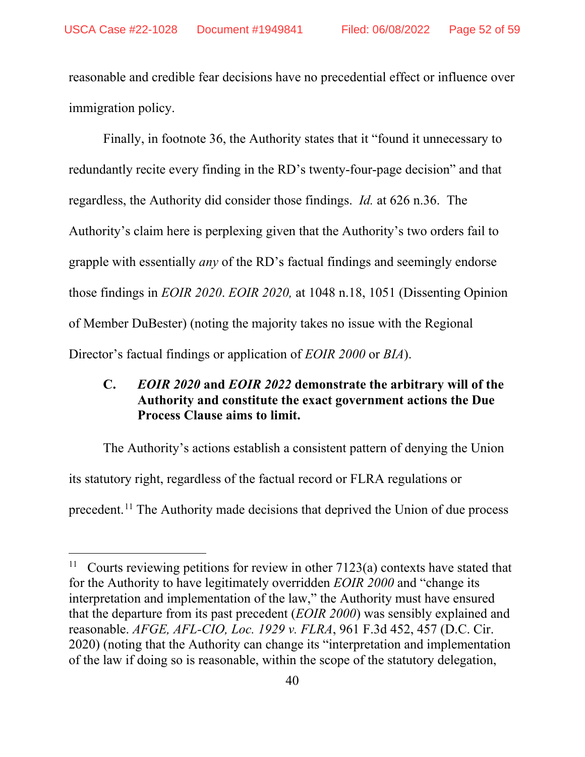reasonable and credible fear decisions have no precedential effect or influence over immigration policy.

Finally, in footnote 36, the Authority states that it "found it unnecessary to redundantly recite every finding in the RD's twenty-four-page decision" and that regardless, the Authority did consider those findings. *Id.* at 626 n.36. The Authority's claim here is perplexing given that the Authority's two orders fail to grapple with essentially *any* of the RD's factual findings and seemingly endorse those findings in *EOIR 2020*. *EOIR 2020,* at 1048 n.18, 1051 (Dissenting Opinion of Member DuBester) (noting the majority takes no issue with the Regional Director's factual findings or application of *EOIR 2000* or *BIA*).

# <span id="page-51-0"></span>**C.** *EOIR 2020* **and** *EOIR 2022* **demonstrate the arbitrary will of the Authority and constitute the exact government actions the Due Process Clause aims to limit.**

The Authority's actions establish a consistent pattern of denying the Union its statutory right, regardless of the factual record or FLRA regulations or precedent.[11](#page-51-1) The Authority made decisions that deprived the Union of due process

<span id="page-51-1"></span>Courts reviewing petitions for review in other  $7123(a)$  contexts have stated that for the Authority to have legitimately overridden *EOIR 2000* and "change its interpretation and implementation of the law," the Authority must have ensured that the departure from its past precedent (*EOIR 2000*) was sensibly explained and reasonable. *AFGE, AFL-CIO, Loc. 1929 v. FLRA*, 961 F.3d 452, 457 (D.C. Cir. 2020) (noting that the Authority can change its "interpretation and implementation of the law if doing so is reasonable, within the scope of the statutory delegation,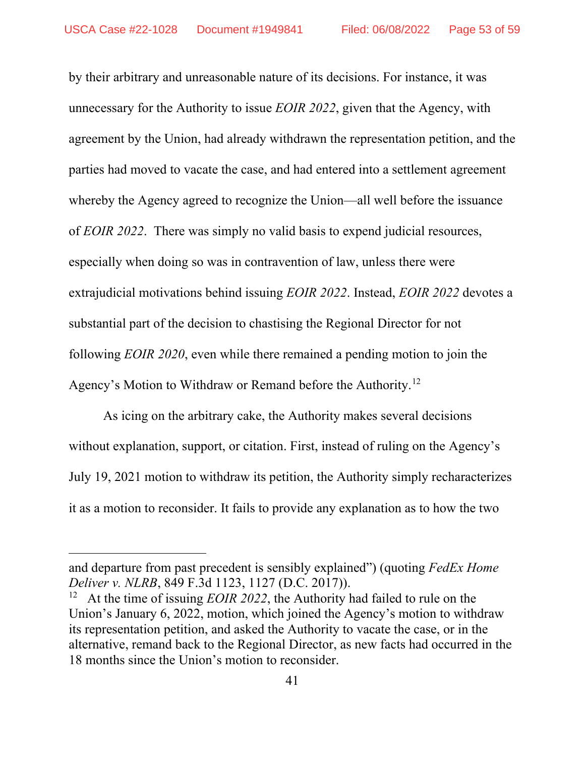by their arbitrary and unreasonable nature of its decisions. For instance, it was unnecessary for the Authority to issue *EOIR 2022*, given that the Agency, with agreement by the Union, had already withdrawn the representation petition, and the parties had moved to vacate the case, and had entered into a settlement agreement whereby the Agency agreed to recognize the Union—all well before the issuance of *EOIR 2022*. There was simply no valid basis to expend judicial resources, especially when doing so was in contravention of law, unless there were extrajudicial motivations behind issuing *EOIR 2022*. Instead, *EOIR 2022* devotes a substantial part of the decision to chastising the Regional Director for not following *EOIR 2020*, even while there remained a pending motion to join the Agency's Motion to Withdraw or Remand before the Authority.<sup>[12](#page-52-0)</sup>

As icing on the arbitrary cake, the Authority makes several decisions without explanation, support, or citation. First, instead of ruling on the Agency's July 19, 2021 motion to withdraw its petition, the Authority simply recharacterizes it as a motion to reconsider. It fails to provide any explanation as to how the two

and departure from past precedent is sensibly explained") (quoting *FedEx Home Deliver v. NLRB*, 849 F.3d 1123, 1127 (D.C. 2017)).

<span id="page-52-0"></span>At the time of issuing *EOIR 2022*, the Authority had failed to rule on the Union's January 6, 2022, motion, which joined the Agency's motion to withdraw its representation petition, and asked the Authority to vacate the case, or in the alternative, remand back to the Regional Director, as new facts had occurred in the 18 months since the Union's motion to reconsider.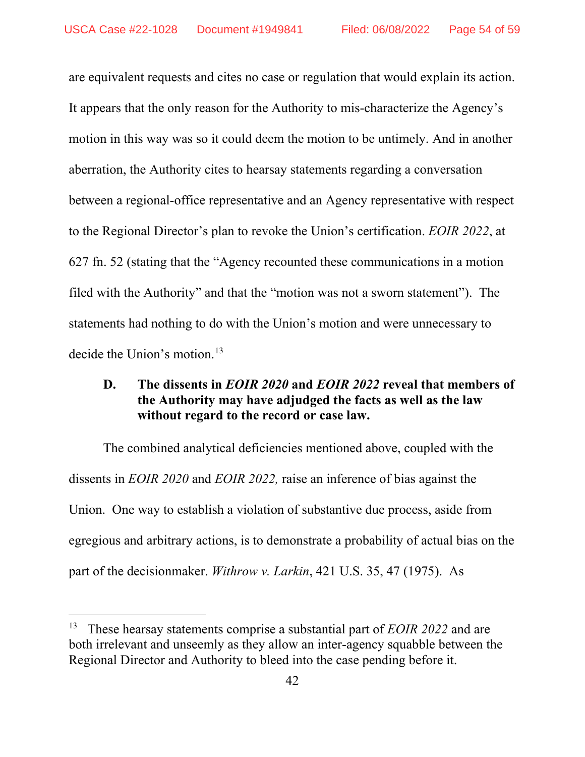are equivalent requests and cites no case or regulation that would explain its action. It appears that the only reason for the Authority to mis-characterize the Agency's motion in this way was so it could deem the motion to be untimely. And in another aberration, the Authority cites to hearsay statements regarding a conversation between a regional-office representative and an Agency representative with respect to the Regional Director's plan to revoke the Union's certification. *EOIR 2022*, at 627 fn. 52 (stating that the "Agency recounted these communications in a motion filed with the Authority" and that the "motion was not a sworn statement"). The statements had nothing to do with the Union's motion and were unnecessary to decide the Union's motion.<sup>[13](#page-53-1)</sup>

### <span id="page-53-0"></span>**D. The dissents in** *EOIR 2020* **and** *EOIR 2022* **reveal that members of the Authority may have adjudged the facts as well as the law without regard to the record or case law.**

The combined analytical deficiencies mentioned above, coupled with the dissents in *EOIR 2020* and *EOIR 2022,* raise an inference of bias against the Union. One way to establish a violation of substantive due process, aside from egregious and arbitrary actions, is to demonstrate a probability of actual bias on the part of the decisionmaker. *Withrow v. Larkin*, 421 U.S. 35, 47 (1975). As

<span id="page-53-1"></span><sup>13</sup> These hearsay statements comprise a substantial part of *EOIR 2022* and are both irrelevant and unseemly as they allow an inter-agency squabble between the Regional Director and Authority to bleed into the case pending before it.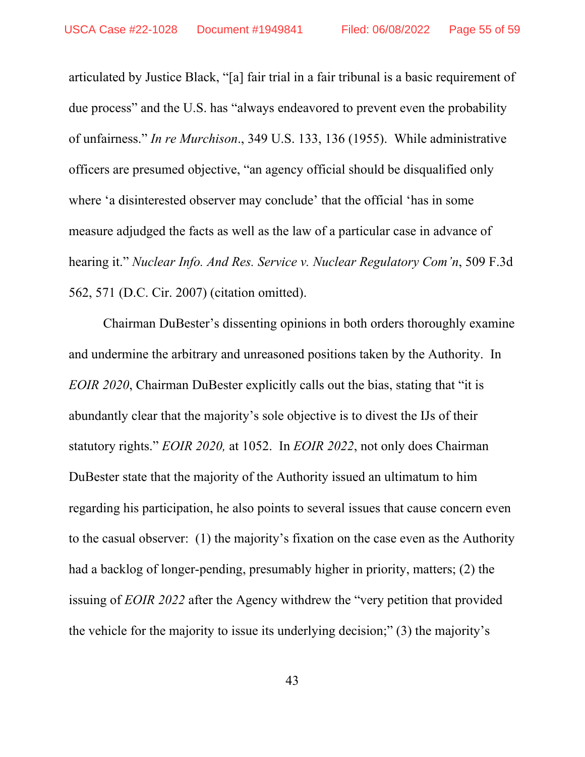articulated by Justice Black, "[a] fair trial in a fair tribunal is a basic requirement of due process" and the U.S. has "always endeavored to prevent even the probability of unfairness." *In re Murchison*., 349 U.S. 133, 136 (1955). While administrative officers are presumed objective, "an agency official should be disqualified only where 'a disinterested observer may conclude' that the official 'has in some measure adjudged the facts as well as the law of a particular case in advance of hearing it." *Nuclear Info. And Res. Service v. Nuclear Regulatory Com'n*, 509 F.3d 562, 571 (D.C. Cir. 2007) (citation omitted).

Chairman DuBester's dissenting opinions in both orders thoroughly examine and undermine the arbitrary and unreasoned positions taken by the Authority. In *EOIR 2020*, Chairman DuBester explicitly calls out the bias, stating that "it is abundantly clear that the majority's sole objective is to divest the IJs of their statutory rights." *EOIR 2020,* at 1052. In *EOIR 2022*, not only does Chairman DuBester state that the majority of the Authority issued an ultimatum to him regarding his participation, he also points to several issues that cause concern even to the casual observer: (1) the majority's fixation on the case even as the Authority had a backlog of longer-pending, presumably higher in priority, matters; (2) the issuing of *EOIR 2022* after the Agency withdrew the "very petition that provided the vehicle for the majority to issue its underlying decision;" (3) the majority's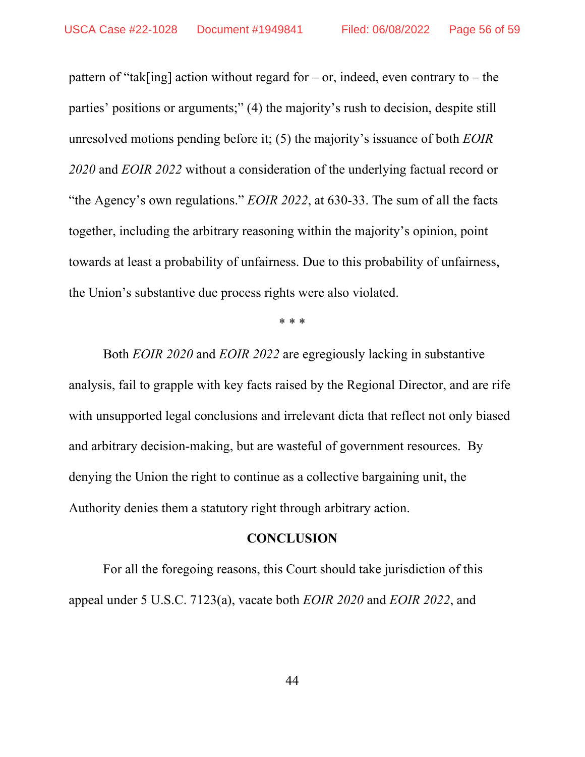pattern of "tak[ing] action without regard for – or, indeed, even contrary to – the parties' positions or arguments;" (4) the majority's rush to decision, despite still unresolved motions pending before it; (5) the majority's issuance of both *EOIR 2020* and *EOIR 2022* without a consideration of the underlying factual record or "the Agency's own regulations." *EOIR 2022*, at 630-33. The sum of all the facts together, including the arbitrary reasoning within the majority's opinion, point towards at least a probability of unfairness. Due to this probability of unfairness, the Union's substantive due process rights were also violated.

\* \* \*

Both *EOIR 2020* and *EOIR 2022* are egregiously lacking in substantive analysis, fail to grapple with key facts raised by the Regional Director, and are rife with unsupported legal conclusions and irrelevant dicta that reflect not only biased and arbitrary decision-making, but are wasteful of government resources. By denying the Union the right to continue as a collective bargaining unit, the Authority denies them a statutory right through arbitrary action.

#### **CONCLUSION**

<span id="page-55-0"></span>For all the foregoing reasons, this Court should take jurisdiction of this appeal under 5 U.S.C. 7123(a), vacate both *EOIR 2020* and *EOIR 2022*, and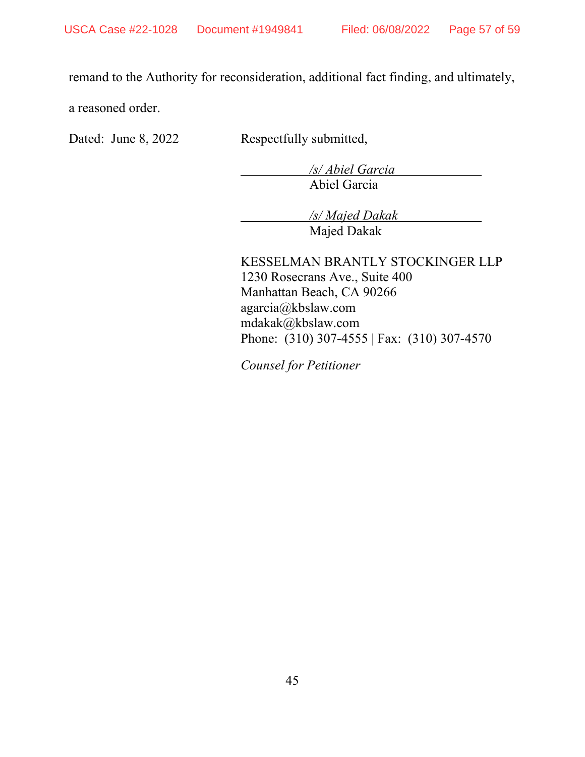remand to the Authority for reconsideration, additional fact finding, and ultimately,

a reasoned order.

Dated: June 8, 2022 Respectfully submitted,

 */s/ Abiel Garcia*  Abiel Garcia

 */s/ Majed Dakak*  Majed Dakak

KESSELMAN BRANTLY STOCKINGER LLP 1230 Rosecrans Ave., Suite 400 Manhattan Beach, CA 90266 agarcia@kbslaw.com mdakak@kbslaw.com Phone: (310) 307-4555 | Fax: (310) 307-4570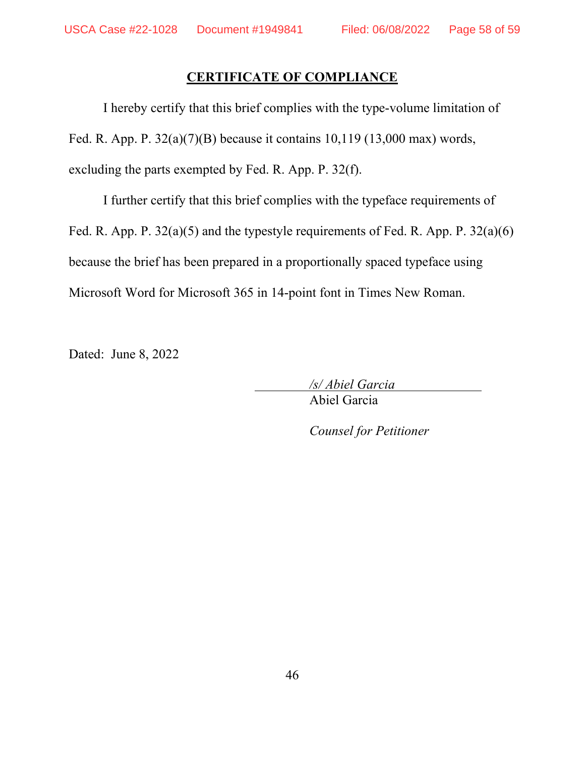### **CERTIFICATE OF COMPLIANCE**

<span id="page-57-0"></span>I hereby certify that this brief complies with the type-volume limitation of Fed. R. App. P.  $32(a)(7)(B)$  because it contains 10,119 (13,000 max) words, excluding the parts exempted by Fed. R. App. P. 32(f).

I further certify that this brief complies with the typeface requirements of Fed. R. App. P. 32(a)(5) and the typestyle requirements of Fed. R. App. P. 32(a)(6) because the brief has been prepared in a proportionally spaced typeface using Microsoft Word for Microsoft 365 in 14-point font in Times New Roman.

Dated: June 8, 2022

 */s/ Abiel Garcia*  Abiel Garcia